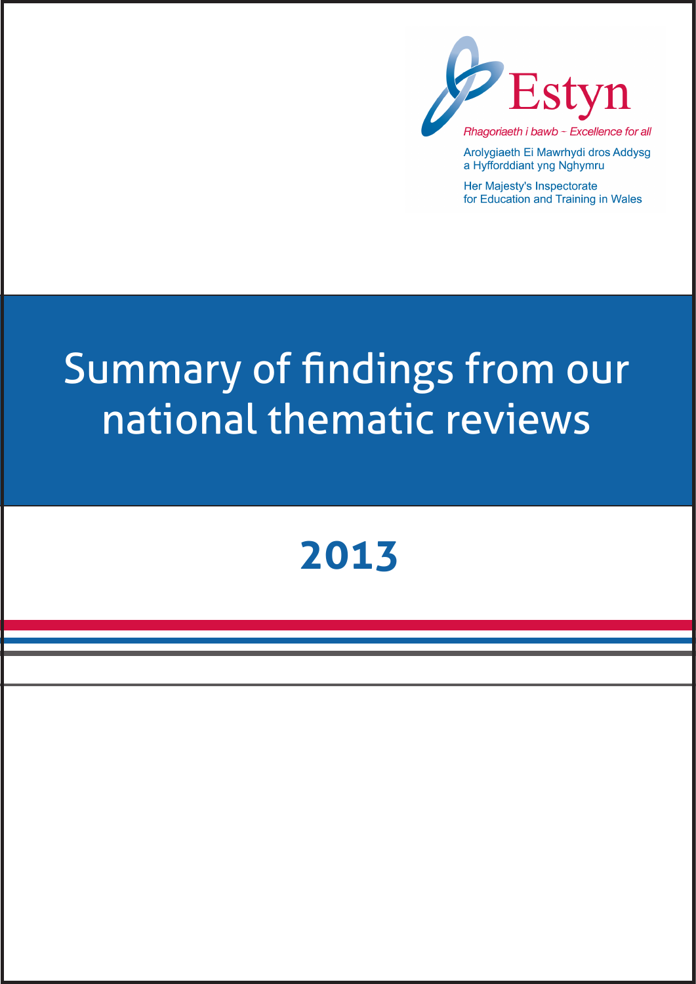

Arolygiaeth Ei Mawrhydi dros Addysg a Hyfforddiant yng Nghymru

Her Majesty's Inspectorate for Education and Training in Wales

# Summary of findings from our national thematic reviews

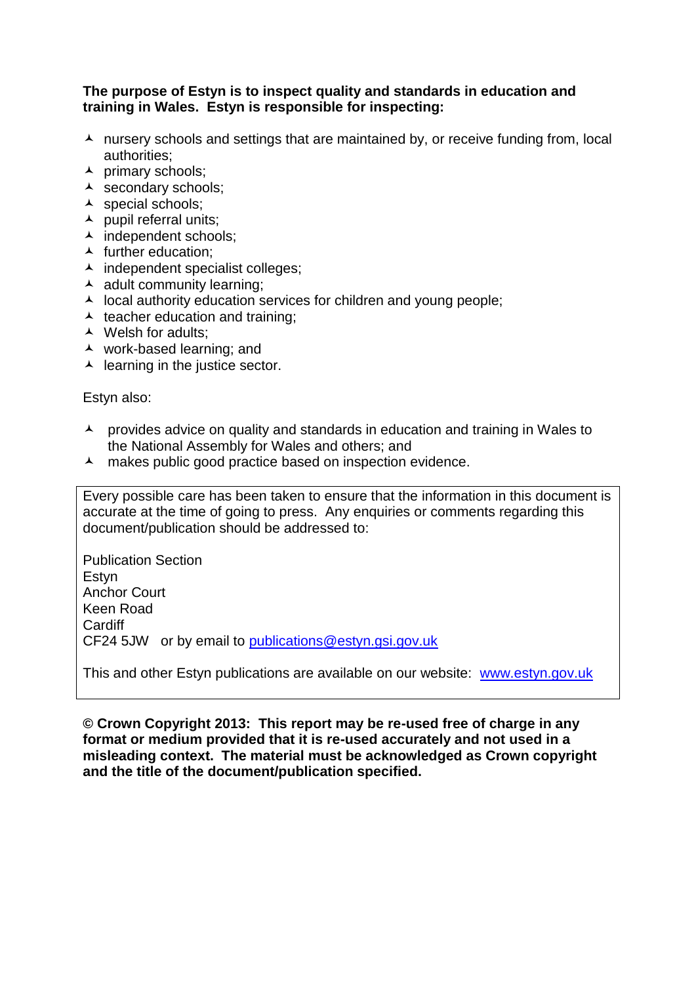## **The purpose of Estyn is to inspect quality and standards in education and training in Wales. Estyn is responsible for inspecting:**

- $\lambda$  nursery schools and settings that are maintained by, or receive funding from, local authorities;
- $\lambda$  primary schools;
- A secondary schools;
- A special schools;
- $\blacktriangle$  pupil referral units;
- ▲ independent schools;
- $\blacktriangle$  further education:
- $\lambda$  independent specialist colleges;
- $\triangle$  adult community learning:
- $\lambda$  local authority education services for children and young people;
- $\triangle$  teacher education and training;
- ▲ Welsh for adults;
- work-based learning; and
- $\blacktriangle$  learning in the justice sector.

Estyn also:

- A provides advice on quality and standards in education and training in Wales to the National Assembly for Wales and others; and
- A makes public good practice based on inspection evidence.

Every possible care has been taken to ensure that the information in this document is accurate at the time of going to press. Any enquiries or comments regarding this document/publication should be addressed to:

Publication Section Estyn Anchor Court Keen Road **Cardiff** CF24 5JW or by email to [publications@estyn.gsi.gov.uk](mailto:publications@estyn.gsi.gov.uk)

This and other Estyn publications are available on our website: [www.estyn.gov.uk](http://www.estyn.gov.uk/)

**© Crown Copyright 2013: This report may be re-used free of charge in any format or medium provided that it is re-used accurately and not used in a misleading context. The material must be acknowledged as Crown copyright and the title of the document/publication specified.**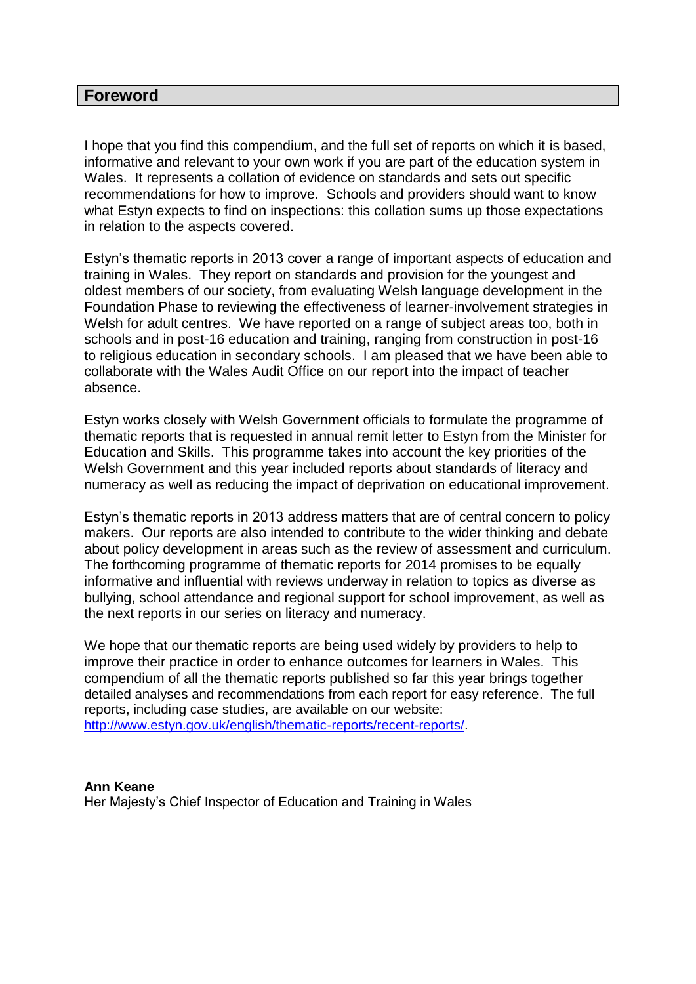#### **Foreword**

I hope that you find this compendium, and the full set of reports on which it is based, informative and relevant to your own work if you are part of the education system in Wales. It represents a collation of evidence on standards and sets out specific recommendations for how to improve. Schools and providers should want to know what Estyn expects to find on inspections: this collation sums up those expectations in relation to the aspects covered.

Estyn's thematic reports in 2013 cover a range of important aspects of education and training in Wales. They report on standards and provision for the youngest and oldest members of our society, from evaluating Welsh language development in the Foundation Phase to reviewing the effectiveness of learner-involvement strategies in Welsh for adult centres. We have reported on a range of subject areas too, both in schools and in post-16 education and training, ranging from construction in post-16 to religious education in secondary schools. I am pleased that we have been able to collaborate with the Wales Audit Office on our report into the impact of teacher absence.

Estyn works closely with Welsh Government officials to formulate the programme of thematic reports that is requested in annual remit letter to Estyn from the Minister for Education and Skills. This programme takes into account the key priorities of the Welsh Government and this year included reports about standards of literacy and numeracy as well as reducing the impact of deprivation on educational improvement.

Estyn's thematic reports in 2013 address matters that are of central concern to policy makers. Our reports are also intended to contribute to the wider thinking and debate about policy development in areas such as the review of assessment and curriculum. The forthcoming programme of thematic reports for 2014 promises to be equally informative and influential with reviews underway in relation to topics as diverse as bullying, school attendance and regional support for school improvement, as well as the next reports in our series on literacy and numeracy.

We hope that our thematic reports are being used widely by providers to help to improve their practice in order to enhance outcomes for learners in Wales. This compendium of all the thematic reports published so far this year brings together detailed analyses and recommendations from each report for easy reference. The full reports, including case studies, are available on our website: [http://www.estyn.gov.uk/english/thematic-reports/recent-reports/.](http://www.estyn.gov.uk/english/thematic-reports/recent-reports/)

**Ann Keane**  Her Majesty's Chief Inspector of Education and Training in Wales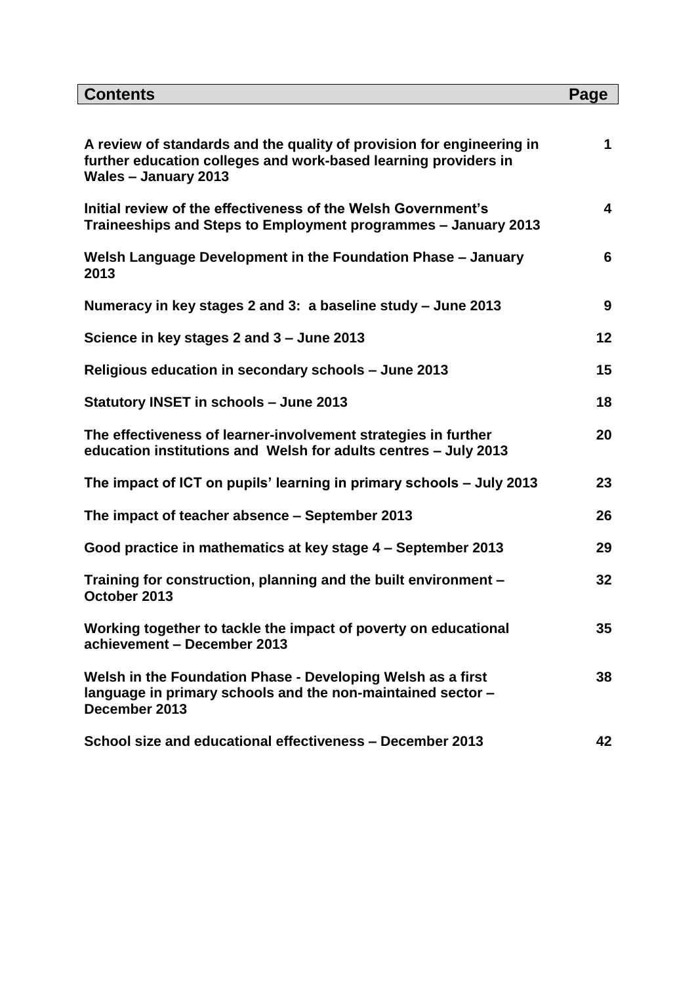| <b>Contents</b>                                                                                                                                                         | Page |
|-------------------------------------------------------------------------------------------------------------------------------------------------------------------------|------|
|                                                                                                                                                                         |      |
| A review of standards and the quality of provision for engineering in<br>further education colleges and work-based learning providers in<br><b>Wales - January 2013</b> | 1    |
| Initial review of the effectiveness of the Welsh Government's<br>Traineeships and Steps to Employment programmes - January 2013                                         | 4    |
| Welsh Language Development in the Foundation Phase - January<br>2013                                                                                                    | 6    |
| Numeracy in key stages 2 and 3: a baseline study – June 2013                                                                                                            | 9    |
| Science in key stages 2 and 3 - June 2013                                                                                                                               | 12   |
| Religious education in secondary schools - June 2013                                                                                                                    | 15   |
| <b>Statutory INSET in schools - June 2013</b>                                                                                                                           | 18   |
| The effectiveness of learner-involvement strategies in further<br>education institutions and Welsh for adults centres - July 2013                                       | 20   |
| The impact of ICT on pupils' learning in primary schools – July 2013                                                                                                    | 23   |
| The impact of teacher absence – September 2013                                                                                                                          | 26   |
| Good practice in mathematics at key stage 4 - September 2013                                                                                                            | 29   |
| Training for construction, planning and the built environment -<br>October 2013                                                                                         | 32   |
| Working together to tackle the impact of poverty on educational<br>achievement - December 2013                                                                          | 35   |
| Welsh in the Foundation Phase - Developing Welsh as a first<br>language in primary schools and the non-maintained sector -<br>December 2013                             | 38   |
| School size and educational effectiveness - December 2013                                                                                                               | 42   |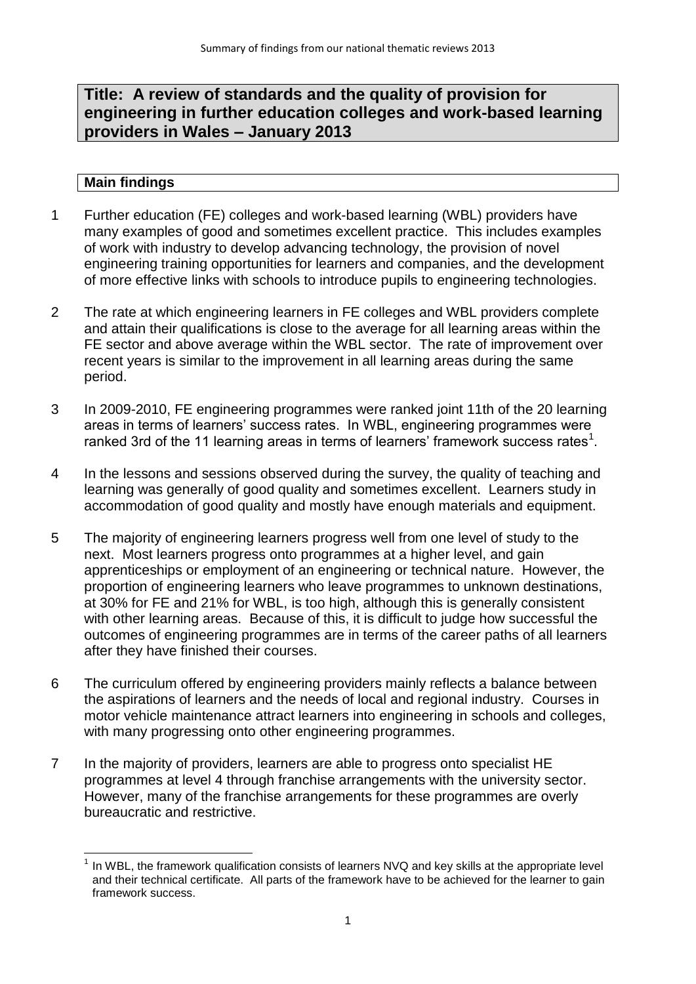# **Title: A review of standards and the quality of provision for engineering in further education colleges and work-based learning providers in Wales – January 2013**

- 1 Further education (FE) colleges and work-based learning (WBL) providers have many examples of good and sometimes excellent practice. This includes examples of work with industry to develop advancing technology, the provision of novel engineering training opportunities for learners and companies, and the development of more effective links with schools to introduce pupils to engineering technologies.
- 2 The rate at which engineering learners in FE colleges and WBL providers complete and attain their qualifications is close to the average for all learning areas within the FE sector and above average within the WBL sector. The rate of improvement over recent years is similar to the improvement in all learning areas during the same period.
- 3 In 2009-2010, FE engineering programmes were ranked joint 11th of the 20 learning areas in terms of learners' success rates. In WBL, engineering programmes were ranked 3rd of the 11 learning areas in terms of learners' framework success rates $^1$ .
- 4 In the lessons and sessions observed during the survey, the quality of teaching and learning was generally of good quality and sometimes excellent. Learners study in accommodation of good quality and mostly have enough materials and equipment.
- 5 The majority of engineering learners progress well from one level of study to the next. Most learners progress onto programmes at a higher level, and gain apprenticeships or employment of an engineering or technical nature. However, the proportion of engineering learners who leave programmes to unknown destinations, at 30% for FE and 21% for WBL, is too high, although this is generally consistent with other learning areas. Because of this, it is difficult to judge how successful the outcomes of engineering programmes are in terms of the career paths of all learners after they have finished their courses.
- 6 The curriculum offered by engineering providers mainly reflects a balance between the aspirations of learners and the needs of local and regional industry. Courses in motor vehicle maintenance attract learners into engineering in schools and colleges, with many progressing onto other engineering programmes.
- 7 In the majority of providers, learners are able to progress onto specialist HE programmes at level 4 through franchise arrangements with the university sector. However, many of the franchise arrangements for these programmes are overly bureaucratic and restrictive.

<sup>————————————————————&</sup>lt;br><sup>1</sup> In WBL, the framework qualification consists of learners NVQ and key skills at the appropriate level and their technical certificate. All parts of the framework have to be achieved for the learner to gain framework success.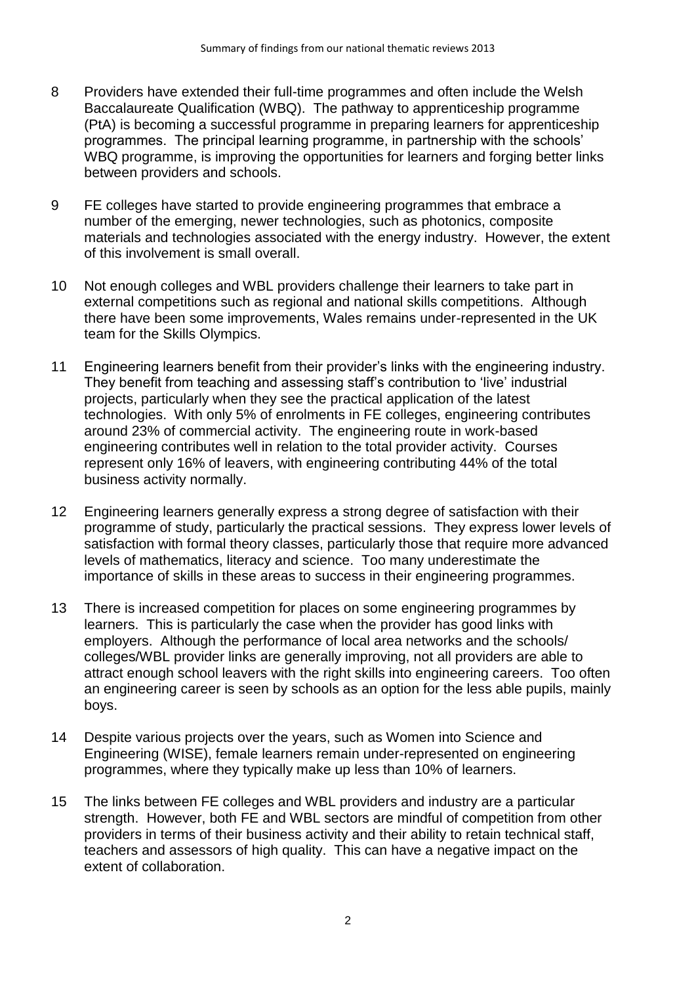- 8 Providers have extended their full-time programmes and often include the Welsh Baccalaureate Qualification (WBQ). The pathway to apprenticeship programme (PtA) is becoming a successful programme in preparing learners for apprenticeship programmes. The principal learning programme, in partnership with the schools' WBQ programme, is improving the opportunities for learners and forging better links between providers and schools.
- 9 FE colleges have started to provide engineering programmes that embrace a number of the emerging, newer technologies, such as photonics, composite materials and technologies associated with the energy industry. However, the extent of this involvement is small overall.
- 10 Not enough colleges and WBL providers challenge their learners to take part in external competitions such as regional and national skills competitions. Although there have been some improvements, Wales remains under-represented in the UK team for the Skills Olympics.
- 11 Engineering learners benefit from their provider's links with the engineering industry. They benefit from teaching and assessing staff's contribution to 'live' industrial projects, particularly when they see the practical application of the latest technologies. With only 5% of enrolments in FE colleges, engineering contributes around 23% of commercial activity. The engineering route in work-based engineering contributes well in relation to the total provider activity. Courses represent only 16% of leavers, with engineering contributing 44% of the total business activity normally.
- 12 Engineering learners generally express a strong degree of satisfaction with their programme of study, particularly the practical sessions. They express lower levels of satisfaction with formal theory classes, particularly those that require more advanced levels of mathematics, literacy and science. Too many underestimate the importance of skills in these areas to success in their engineering programmes.
- 13 There is increased competition for places on some engineering programmes by learners. This is particularly the case when the provider has good links with employers. Although the performance of local area networks and the schools/ colleges/WBL provider links are generally improving, not all providers are able to attract enough school leavers with the right skills into engineering careers. Too often an engineering career is seen by schools as an option for the less able pupils, mainly boys.
- 14 Despite various projects over the years, such as Women into Science and Engineering (WISE), female learners remain under-represented on engineering programmes, where they typically make up less than 10% of learners.
- 15 The links between FE colleges and WBL providers and industry are a particular strength. However, both FE and WBL sectors are mindful of competition from other providers in terms of their business activity and their ability to retain technical staff, teachers and assessors of high quality. This can have a negative impact on the extent of collaboration.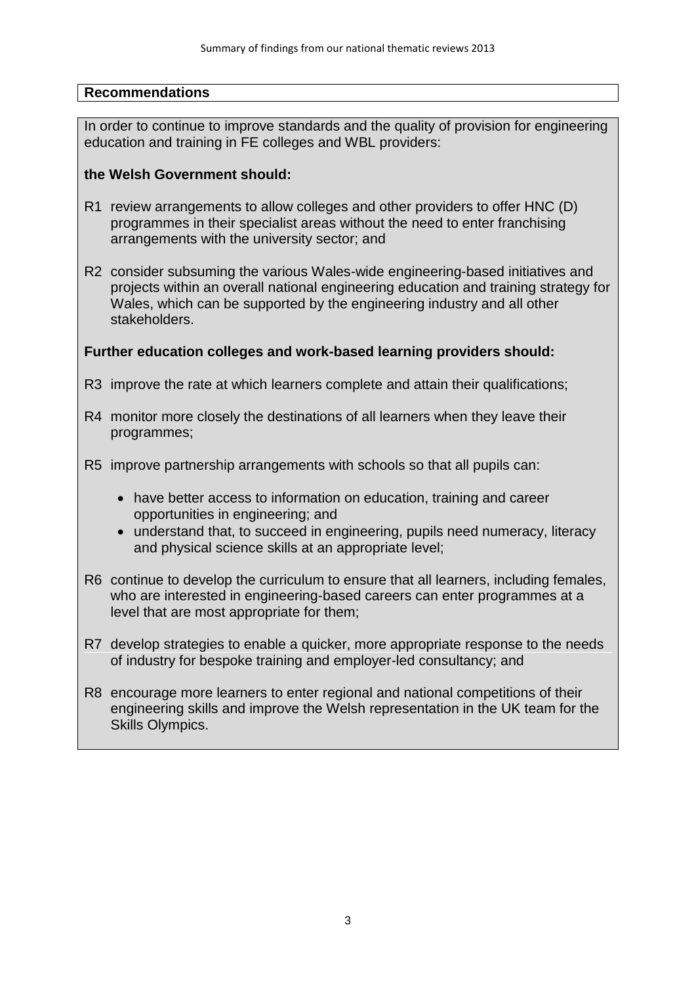In order to continue to improve standards and the quality of provision for engineering education and training in FE colleges and WBL providers:

#### **the Welsh Government should:**

- R1 review arrangements to allow colleges and other providers to offer HNC (D) programmes in their specialist areas without the need to enter franchising arrangements with the university sector; and
- R2 consider subsuming the various Wales-wide engineering-based initiatives and projects within an overall national engineering education and training strategy for Wales, which can be supported by the engineering industry and all other stakeholders.

#### **Further education colleges and work-based learning providers should:**

- R3 improve the rate at which learners complete and attain their qualifications;
- R4 monitor more closely the destinations of all learners when they leave their programmes;
- R5 improve partnership arrangements with schools so that all pupils can:
	- have better access to information on education, training and career opportunities in engineering; and
	- understand that, to succeed in engineering, pupils need numeracy, literacy and physical science skills at an appropriate level;
- R6 continue to develop the curriculum to ensure that all learners, including females, who are interested in engineering-based careers can enter programmes at a level that are most appropriate for them;
- R7 develop strategies to enable a quicker, more appropriate response to the needs of industry for bespoke training and employer-led consultancy; and
- R8 encourage more learners to enter regional and national competitions of their engineering skills and improve the Welsh representation in the UK team for the Skills Olympics.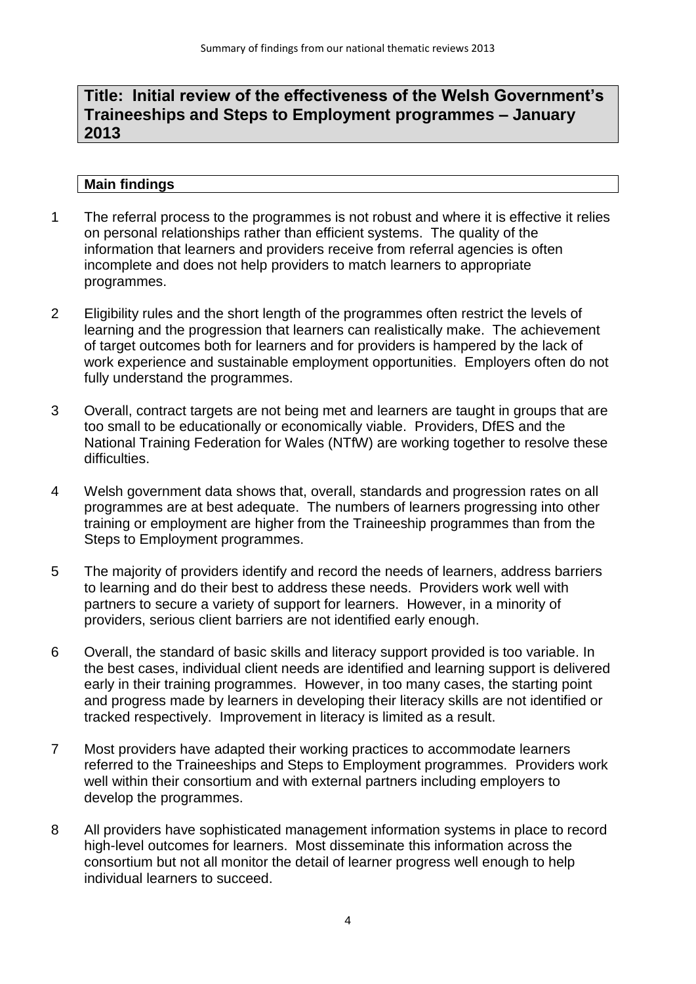# **Title: Initial review of the effectiveness of the Welsh Government's Traineeships and Steps to Employment programmes – January 2013**

- 1 The referral process to the programmes is not robust and where it is effective it relies on personal relationships rather than efficient systems. The quality of the information that learners and providers receive from referral agencies is often incomplete and does not help providers to match learners to appropriate programmes.
- 2 Eligibility rules and the short length of the programmes often restrict the levels of learning and the progression that learners can realistically make. The achievement of target outcomes both for learners and for providers is hampered by the lack of work experience and sustainable employment opportunities. Employers often do not fully understand the programmes.
- 3 Overall, contract targets are not being met and learners are taught in groups that are too small to be educationally or economically viable. Providers, DfES and the National Training Federation for Wales (NTfW) are working together to resolve these difficulties.
- 4 Welsh government data shows that, overall, standards and progression rates on all programmes are at best adequate. The numbers of learners progressing into other training or employment are higher from the Traineeship programmes than from the Steps to Employment programmes.
- 5 The majority of providers identify and record the needs of learners, address barriers to learning and do their best to address these needs. Providers work well with partners to secure a variety of support for learners. However, in a minority of providers, serious client barriers are not identified early enough.
- 6 Overall, the standard of basic skills and literacy support provided is too variable. In the best cases, individual client needs are identified and learning support is delivered early in their training programmes. However, in too many cases, the starting point and progress made by learners in developing their literacy skills are not identified or tracked respectively. Improvement in literacy is limited as a result.
- 7 Most providers have adapted their working practices to accommodate learners referred to the Traineeships and Steps to Employment programmes. Providers work well within their consortium and with external partners including employers to develop the programmes.
- 8 All providers have sophisticated management information systems in place to record high-level outcomes for learners. Most disseminate this information across the consortium but not all monitor the detail of learner progress well enough to help individual learners to succeed.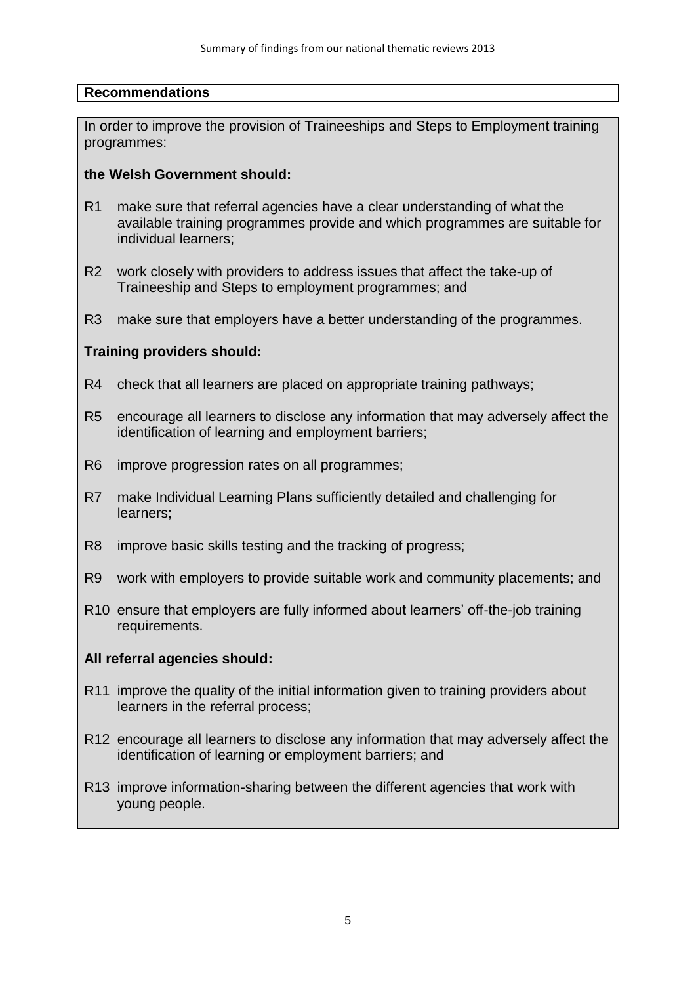In order to improve the provision of Traineeships and Steps to Employment training programmes:

#### **the Welsh Government should:**

- R1 make sure that referral agencies have a clear understanding of what the available training programmes provide and which programmes are suitable for individual learners;
- R2 work closely with providers to address issues that affect the take-up of Traineeship and Steps to employment programmes; and
- R3 make sure that employers have a better understanding of the programmes.

### **Training providers should:**

- R4 check that all learners are placed on appropriate training pathways;
- R5 encourage all learners to disclose any information that may adversely affect the identification of learning and employment barriers;
- R6 improve progression rates on all programmes;
- R7 make Individual Learning Plans sufficiently detailed and challenging for learners;
- R8 improve basic skills testing and the tracking of progress;
- R9 work with employers to provide suitable work and community placements; and
- R10 ensure that employers are fully informed about learners' off-the-job training requirements.

#### **All referral agencies should:**

- R11 improve the quality of the initial information given to training providers about learners in the referral process;
- R12 encourage all learners to disclose any information that may adversely affect the identification of learning or employment barriers; and
- R13 improve information-sharing between the different agencies that work with young people.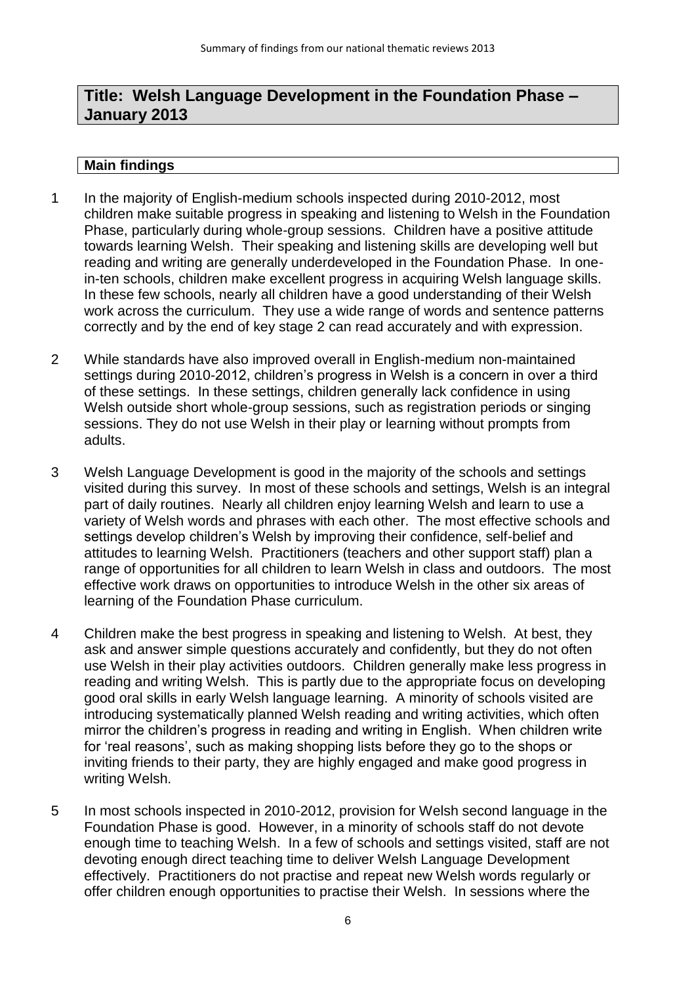# **Title: Welsh Language Development in the Foundation Phase – January 2013**

- 1 In the majority of English-medium schools inspected during 2010-2012, most children make suitable progress in speaking and listening to Welsh in the Foundation Phase, particularly during whole-group sessions. Children have a positive attitude towards learning Welsh. Their speaking and listening skills are developing well but reading and writing are generally underdeveloped in the Foundation Phase. In onein-ten schools, children make excellent progress in acquiring Welsh language skills. In these few schools, nearly all children have a good understanding of their Welsh work across the curriculum. They use a wide range of words and sentence patterns correctly and by the end of key stage 2 can read accurately and with expression.
- 2 While standards have also improved overall in English-medium non-maintained settings during 2010-2012, children's progress in Welsh is a concern in over a third of these settings. In these settings, children generally lack confidence in using Welsh outside short whole-group sessions, such as registration periods or singing sessions. They do not use Welsh in their play or learning without prompts from adults.
- 3 Welsh Language Development is good in the majority of the schools and settings visited during this survey. In most of these schools and settings, Welsh is an integral part of daily routines. Nearly all children enjoy learning Welsh and learn to use a variety of Welsh words and phrases with each other. The most effective schools and settings develop children's Welsh by improving their confidence, self-belief and attitudes to learning Welsh. Practitioners (teachers and other support staff) plan a range of opportunities for all children to learn Welsh in class and outdoors. The most effective work draws on opportunities to introduce Welsh in the other six areas of learning of the Foundation Phase curriculum.
- 4 Children make the best progress in speaking and listening to Welsh. At best, they ask and answer simple questions accurately and confidently, but they do not often use Welsh in their play activities outdoors. Children generally make less progress in reading and writing Welsh. This is partly due to the appropriate focus on developing good oral skills in early Welsh language learning. A minority of schools visited are introducing systematically planned Welsh reading and writing activities, which often mirror the children's progress in reading and writing in English. When children write for 'real reasons', such as making shopping lists before they go to the shops or inviting friends to their party, they are highly engaged and make good progress in writing Welsh.
- 5 In most schools inspected in 2010-2012, provision for Welsh second language in the Foundation Phase is good. However, in a minority of schools staff do not devote enough time to teaching Welsh. In a few of schools and settings visited, staff are not devoting enough direct teaching time to deliver Welsh Language Development effectively. Practitioners do not practise and repeat new Welsh words regularly or offer children enough opportunities to practise their Welsh. In sessions where the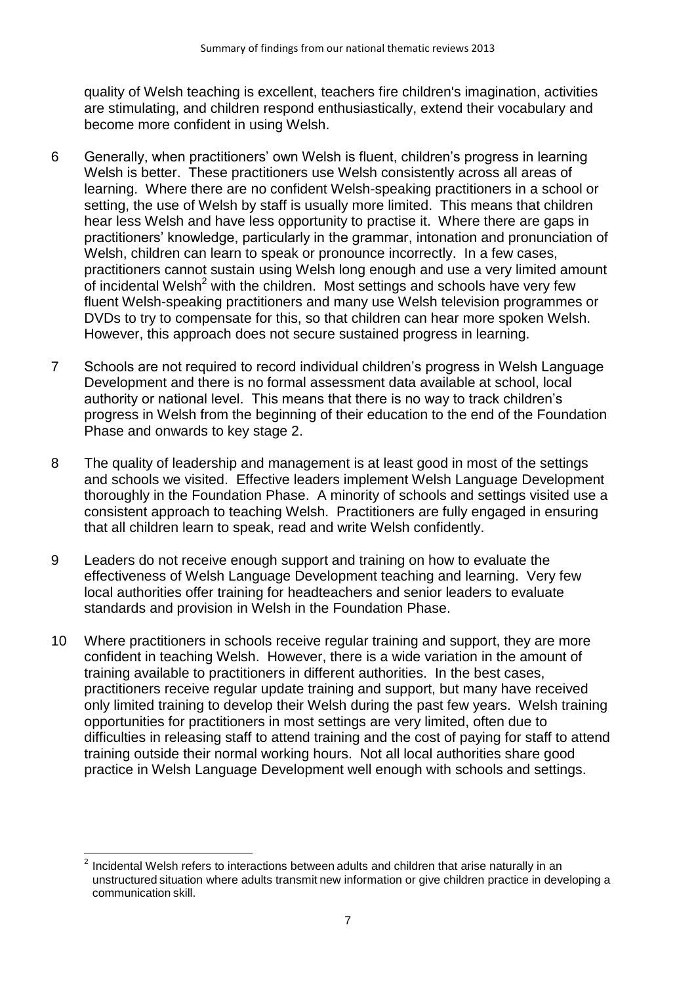quality of Welsh teaching is excellent, teachers fire children's imagination, activities are stimulating, and children respond enthusiastically, extend their vocabulary and become more confident in using Welsh.

- 6 Generally, when practitioners' own Welsh is fluent, children's progress in learning Welsh is better. These practitioners use Welsh consistently across all areas of learning. Where there are no confident Welsh-speaking practitioners in a school or setting, the use of Welsh by staff is usually more limited. This means that children hear less Welsh and have less opportunity to practise it. Where there are gaps in practitioners' knowledge, particularly in the grammar, intonation and pronunciation of Welsh, children can learn to speak or pronounce incorrectly. In a few cases, practitioners cannot sustain using Welsh long enough and use a very limited amount of incidental Welsh<sup>2</sup> with the children. Most settings and schools have very few fluent Welsh-speaking practitioners and many use Welsh television programmes or DVDs to try to compensate for this, so that children can hear more spoken Welsh. However, this approach does not secure sustained progress in learning.
- 7 Schools are not required to record individual children's progress in Welsh Language Development and there is no formal assessment data available at school, local authority or national level. This means that there is no way to track children's progress in Welsh from the beginning of their education to the end of the Foundation Phase and onwards to key stage 2.
- 8 The quality of leadership and management is at least good in most of the settings and schools we visited. Effective leaders implement Welsh Language Development thoroughly in the Foundation Phase. A minority of schools and settings visited use a consistent approach to teaching Welsh. Practitioners are fully engaged in ensuring that all children learn to speak, read and write Welsh confidently.
- 9 Leaders do not receive enough support and training on how to evaluate the effectiveness of Welsh Language Development teaching and learning. Very few local authorities offer training for headteachers and senior leaders to evaluate standards and provision in Welsh in the Foundation Phase.
- 10 Where practitioners in schools receive regular training and support, they are more confident in teaching Welsh. However, there is a wide variation in the amount of training available to practitioners in different authorities. In the best cases, practitioners receive regular update training and support, but many have received only limited training to develop their Welsh during the past few years. Welsh training opportunities for practitioners in most settings are very limited, often due to difficulties in releasing staff to attend training and the cost of paying for staff to attend training outside their normal working hours. Not all local authorities share good practice in Welsh Language Development well enough with schools and settings.

 $\overline{\phantom{a}}$  $2$  Incidental Welsh refers to interactions between adults and children that arise naturally in an unstructured situation where adults transmit new information or give children practice in developing a communication skill.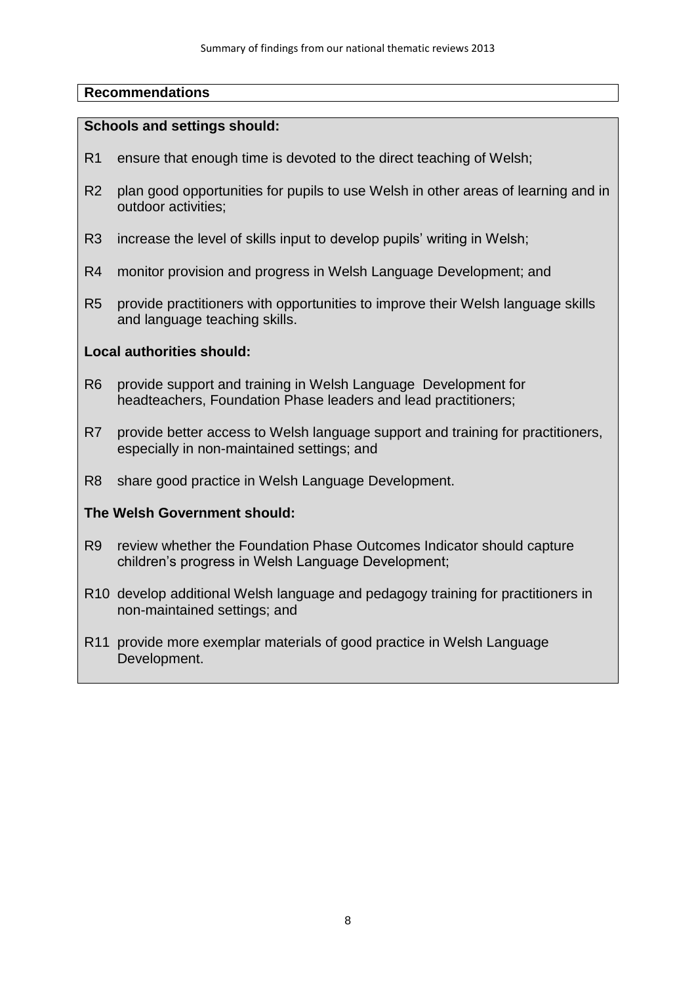#### **Schools and settings should:**

- R1 ensure that enough time is devoted to the direct teaching of Welsh;
- R2 plan good opportunities for pupils to use Welsh in other areas of learning and in outdoor activities;
- R3 increase the level of skills input to develop pupils' writing in Welsh;
- R4 monitor provision and progress in Welsh Language Development; and
- R5 provide practitioners with opportunities to improve their Welsh language skills and language teaching skills.

#### **Local authorities should:**

- R6 provide support and training in Welsh Language Development for headteachers, Foundation Phase leaders and lead practitioners;
- R7 provide better access to Welsh language support and training for practitioners, especially in non-maintained settings; and
- R8 share good practice in Welsh Language Development.

#### **The Welsh Government should:**

- R9 review whether the Foundation Phase Outcomes Indicator should capture children's progress in Welsh Language Development;
- R10 develop additional Welsh language and pedagogy training for practitioners in non-maintained settings; and
- R11 provide more exemplar materials of good practice in Welsh Language Development.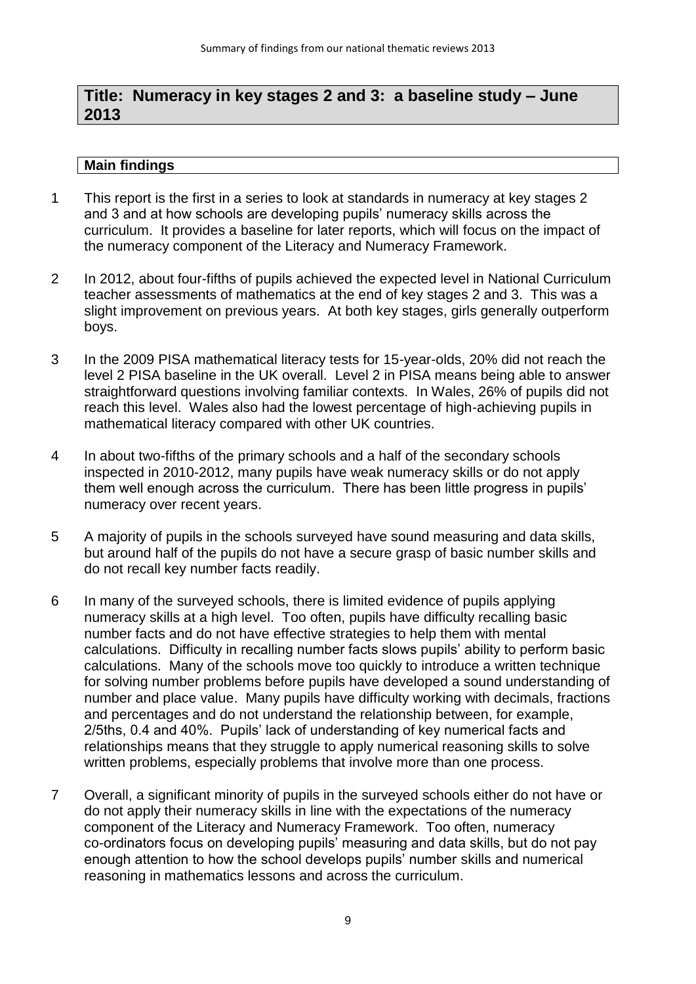## **Title: Numeracy in key stages 2 and 3: a baseline study – June 2013**

- 1 This report is the first in a series to look at standards in numeracy at key stages 2 and 3 and at how schools are developing pupils' numeracy skills across the curriculum. It provides a baseline for later reports, which will focus on the impact of the numeracy component of the Literacy and Numeracy Framework.
- 2 In 2012, about four-fifths of pupils achieved the expected level in National Curriculum teacher assessments of mathematics at the end of key stages 2 and 3. This was a slight improvement on previous years. At both key stages, girls generally outperform boys.
- 3 In the 2009 PISA mathematical literacy tests for 15-year-olds, 20% did not reach the level 2 PISA baseline in the UK overall. Level 2 in PISA means being able to answer straightforward questions involving familiar contexts. In Wales, 26% of pupils did not reach this level. Wales also had the lowest percentage of high-achieving pupils in mathematical literacy compared with other UK countries.
- 4 In about two-fifths of the primary schools and a half of the secondary schools inspected in 2010-2012, many pupils have weak numeracy skills or do not apply them well enough across the curriculum. There has been little progress in pupils' numeracy over recent years.
- 5 A majority of pupils in the schools surveyed have sound measuring and data skills, but around half of the pupils do not have a secure grasp of basic number skills and do not recall key number facts readily.
- 6 In many of the surveyed schools, there is limited evidence of pupils applying numeracy skills at a high level. Too often, pupils have difficulty recalling basic number facts and do not have effective strategies to help them with mental calculations. Difficulty in recalling number facts slows pupils' ability to perform basic calculations. Many of the schools move too quickly to introduce a written technique for solving number problems before pupils have developed a sound understanding of number and place value. Many pupils have difficulty working with decimals, fractions and percentages and do not understand the relationship between, for example, 2/5ths, 0.4 and 40%. Pupils' lack of understanding of key numerical facts and relationships means that they struggle to apply numerical reasoning skills to solve written problems, especially problems that involve more than one process.
- 7 Overall, a significant minority of pupils in the surveyed schools either do not have or do not apply their numeracy skills in line with the expectations of the numeracy component of the Literacy and Numeracy Framework. Too often, numeracy co-ordinators focus on developing pupils' measuring and data skills, but do not pay enough attention to how the school develops pupils' number skills and numerical reasoning in mathematics lessons and across the curriculum.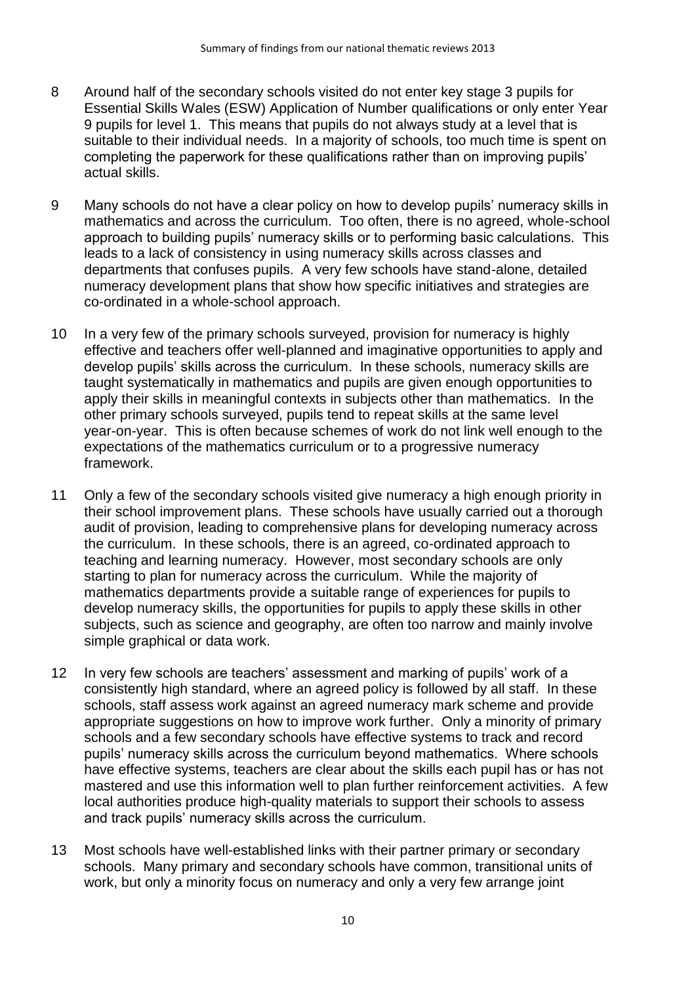- 8 Around half of the secondary schools visited do not enter key stage 3 pupils for Essential Skills Wales (ESW) Application of Number qualifications or only enter Year 9 pupils for level 1. This means that pupils do not always study at a level that is suitable to their individual needs. In a majority of schools, too much time is spent on completing the paperwork for these qualifications rather than on improving pupils' actual skills.
- 9 Many schools do not have a clear policy on how to develop pupils' numeracy skills in mathematics and across the curriculum. Too often, there is no agreed, whole-school approach to building pupils' numeracy skills or to performing basic calculations. This leads to a lack of consistency in using numeracy skills across classes and departments that confuses pupils. A very few schools have stand-alone, detailed numeracy development plans that show how specific initiatives and strategies are co-ordinated in a whole-school approach.
- 10 In a very few of the primary schools surveyed, provision for numeracy is highly effective and teachers offer well-planned and imaginative opportunities to apply and develop pupils' skills across the curriculum. In these schools, numeracy skills are taught systematically in mathematics and pupils are given enough opportunities to apply their skills in meaningful contexts in subjects other than mathematics. In the other primary schools surveyed, pupils tend to repeat skills at the same level year-on-year. This is often because schemes of work do not link well enough to the expectations of the mathematics curriculum or to a progressive numeracy framework.
- 11 Only a few of the secondary schools visited give numeracy a high enough priority in their school improvement plans. These schools have usually carried out a thorough audit of provision, leading to comprehensive plans for developing numeracy across the curriculum. In these schools, there is an agreed, co-ordinated approach to teaching and learning numeracy. However, most secondary schools are only starting to plan for numeracy across the curriculum. While the majority of mathematics departments provide a suitable range of experiences for pupils to develop numeracy skills, the opportunities for pupils to apply these skills in other subjects, such as science and geography, are often too narrow and mainly involve simple graphical or data work.
- 12 In very few schools are teachers' assessment and marking of pupils' work of a consistently high standard, where an agreed policy is followed by all staff. In these schools, staff assess work against an agreed numeracy mark scheme and provide appropriate suggestions on how to improve work further. Only a minority of primary schools and a few secondary schools have effective systems to track and record pupils' numeracy skills across the curriculum beyond mathematics. Where schools have effective systems, teachers are clear about the skills each pupil has or has not mastered and use this information well to plan further reinforcement activities. A few local authorities produce high-quality materials to support their schools to assess and track pupils' numeracy skills across the curriculum.
- 13 Most schools have well-established links with their partner primary or secondary schools. Many primary and secondary schools have common, transitional units of work, but only a minority focus on numeracy and only a very few arrange joint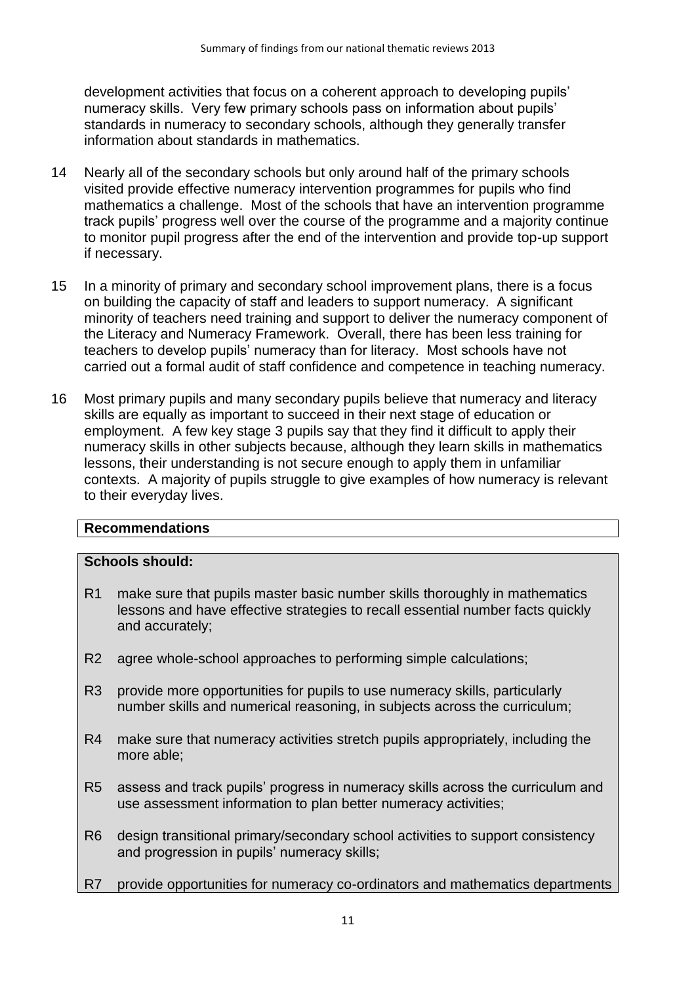development activities that focus on a coherent approach to developing pupils' numeracy skills. Very few primary schools pass on information about pupils' standards in numeracy to secondary schools, although they generally transfer information about standards in mathematics.

- 14 Nearly all of the secondary schools but only around half of the primary schools visited provide effective numeracy intervention programmes for pupils who find mathematics a challenge. Most of the schools that have an intervention programme track pupils' progress well over the course of the programme and a majority continue to monitor pupil progress after the end of the intervention and provide top-up support if necessary.
- 15 In a minority of primary and secondary school improvement plans, there is a focus on building the capacity of staff and leaders to support numeracy. A significant minority of teachers need training and support to deliver the numeracy component of the Literacy and Numeracy Framework. Overall, there has been less training for teachers to develop pupils' numeracy than for literacy. Most schools have not carried out a formal audit of staff confidence and competence in teaching numeracy.
- 16 Most primary pupils and many secondary pupils believe that numeracy and literacy skills are equally as important to succeed in their next stage of education or employment. A few key stage 3 pupils say that they find it difficult to apply their numeracy skills in other subjects because, although they learn skills in mathematics lessons, their understanding is not secure enough to apply them in unfamiliar contexts. A majority of pupils struggle to give examples of how numeracy is relevant to their everyday lives.

### **Recommendations**

#### **Schools should:**

- R1 make sure that pupils master basic number skills thoroughly in mathematics lessons and have effective strategies to recall essential number facts quickly and accurately;
- R2 agree whole-school approaches to performing simple calculations;
- R3 provide more opportunities for pupils to use numeracy skills, particularly number skills and numerical reasoning, in subjects across the curriculum;
- R4 make sure that numeracy activities stretch pupils appropriately, including the more able;
- R5 assess and track pupils' progress in numeracy skills across the curriculum and use assessment information to plan better numeracy activities;
- R6 design transitional primary/secondary school activities to support consistency and progression in pupils' numeracy skills;
- R7 provide opportunities for numeracy co-ordinators and mathematics departments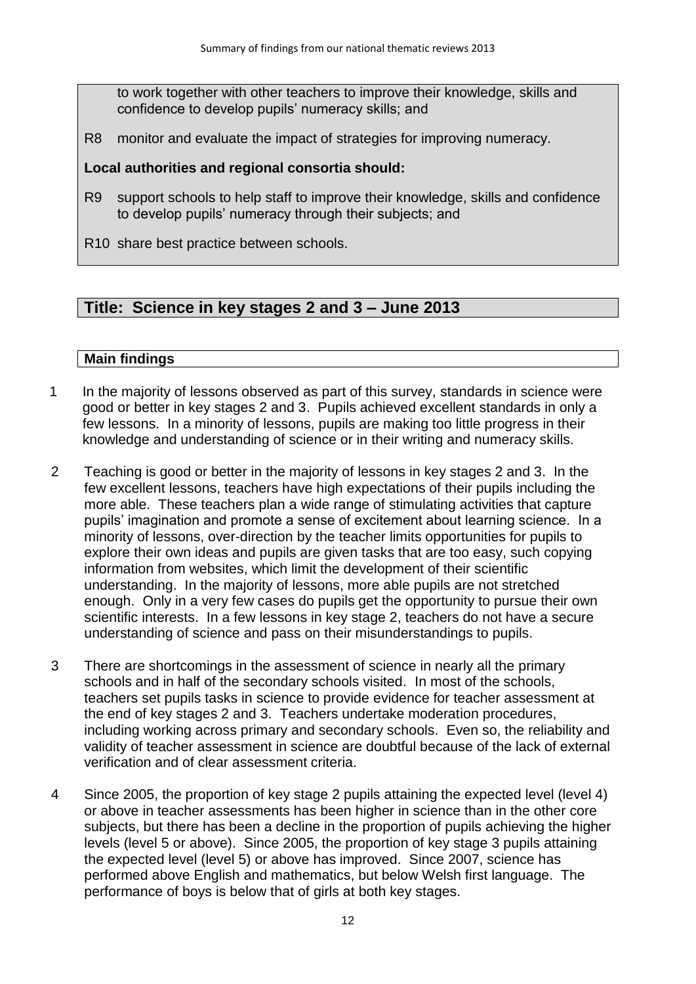to work together with other teachers to improve their knowledge, skills and confidence to develop pupils' numeracy skills; and

R8 monitor and evaluate the impact of strategies for improving numeracy.

## **Local authorities and regional consortia should:**

- R9 support schools to help staff to improve their knowledge, skills and confidence to develop pupils' numeracy through their subjects; and
- R10 share best practice between schools.

# **Title: Science in key stages 2 and 3 – June 2013**

- 1 In the majority of lessons observed as part of this survey, standards in science were good or better in key stages 2 and 3. Pupils achieved excellent standards in only a few lessons. In a minority of lessons, pupils are making too little progress in their knowledge and understanding of science or in their writing and numeracy skills.
- 2 Teaching is good or better in the majority of lessons in key stages 2 and 3. In the few excellent lessons, teachers have high expectations of their pupils including the more able. These teachers plan a wide range of stimulating activities that capture pupils' imagination and promote a sense of excitement about learning science. In a minority of lessons, over-direction by the teacher limits opportunities for pupils to explore their own ideas and pupils are given tasks that are too easy, such copying information from websites, which limit the development of their scientific understanding. In the majority of lessons, more able pupils are not stretched enough. Only in a very few cases do pupils get the opportunity to pursue their own scientific interests. In a few lessons in key stage 2, teachers do not have a secure understanding of science and pass on their misunderstandings to pupils.
- 3 There are shortcomings in the assessment of science in nearly all the primary schools and in half of the secondary schools visited. In most of the schools, teachers set pupils tasks in science to provide evidence for teacher assessment at the end of key stages 2 and 3. Teachers undertake moderation procedures, including working across primary and secondary schools. Even so, the reliability and validity of teacher assessment in science are doubtful because of the lack of external verification and of clear assessment criteria.
- 4 Since 2005, the proportion of key stage 2 pupils attaining the expected level (level 4) or above in teacher assessments has been higher in science than in the other core subjects, but there has been a decline in the proportion of pupils achieving the higher levels (level 5 or above). Since 2005, the proportion of key stage 3 pupils attaining the expected level (level 5) or above has improved. Since 2007, science has performed above English and mathematics, but below Welsh first language. The performance of boys is below that of girls at both key stages.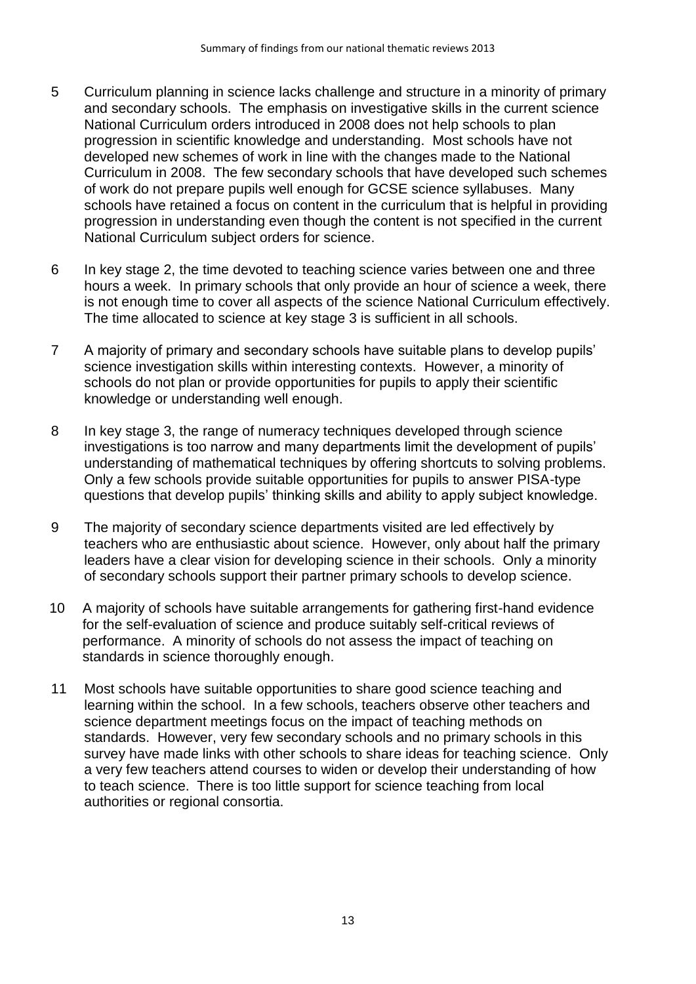- 5 Curriculum planning in science lacks challenge and structure in a minority of primary and secondary schools. The emphasis on investigative skills in the current science National Curriculum orders introduced in 2008 does not help schools to plan progression in scientific knowledge and understanding. Most schools have not developed new schemes of work in line with the changes made to the National Curriculum in 2008. The few secondary schools that have developed such schemes of work do not prepare pupils well enough for GCSE science syllabuses. Many schools have retained a focus on content in the curriculum that is helpful in providing progression in understanding even though the content is not specified in the current National Curriculum subject orders for science.
- 6 In key stage 2, the time devoted to teaching science varies between one and three hours a week. In primary schools that only provide an hour of science a week, there is not enough time to cover all aspects of the science National Curriculum effectively. The time allocated to science at key stage 3 is sufficient in all schools.
- 7 A majority of primary and secondary schools have suitable plans to develop pupils' science investigation skills within interesting contexts. However, a minority of schools do not plan or provide opportunities for pupils to apply their scientific knowledge or understanding well enough.
- 8 In key stage 3, the range of numeracy techniques developed through science investigations is too narrow and many departments limit the development of pupils' understanding of mathematical techniques by offering shortcuts to solving problems. Only a few schools provide suitable opportunities for pupils to answer PISA-type questions that develop pupils' thinking skills and ability to apply subject knowledge.
- 9 The majority of secondary science departments visited are led effectively by teachers who are enthusiastic about science. However, only about half the primary leaders have a clear vision for developing science in their schools. Only a minority of secondary schools support their partner primary schools to develop science.
- 10 A majority of schools have suitable arrangements for gathering first-hand evidence for the self-evaluation of science and produce suitably self-critical reviews of performance. A minority of schools do not assess the impact of teaching on standards in science thoroughly enough.
- 11 Most schools have suitable opportunities to share good science teaching and learning within the school. In a few schools, teachers observe other teachers and science department meetings focus on the impact of teaching methods on standards. However, very few secondary schools and no primary schools in this survey have made links with other schools to share ideas for teaching science. Only a very few teachers attend courses to widen or develop their understanding of how to teach science. There is too little support for science teaching from local authorities or regional consortia.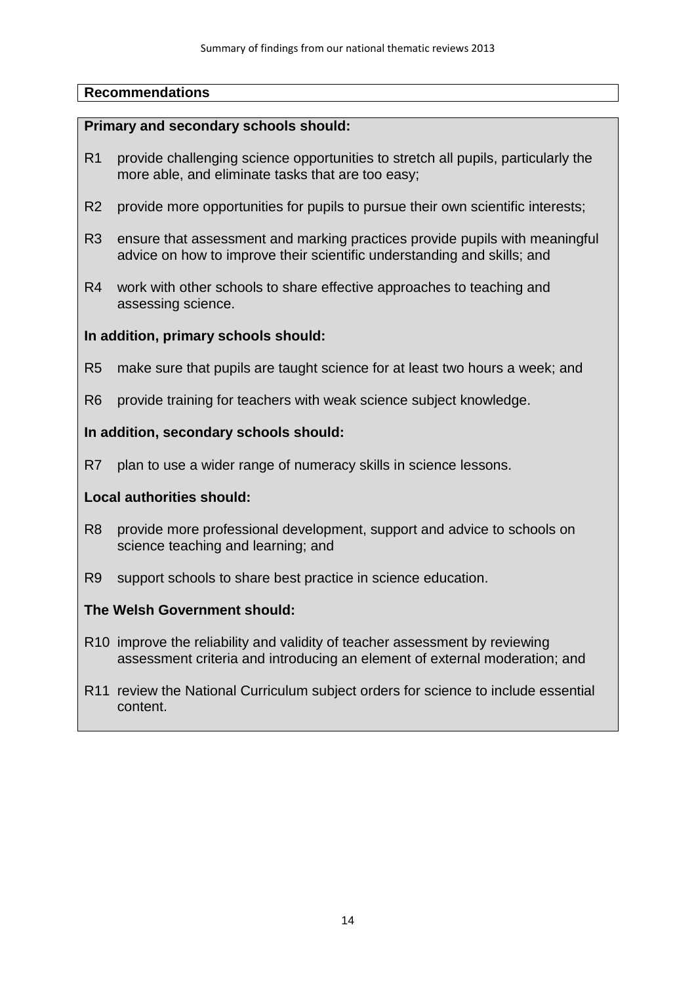#### **Primary and secondary schools should:**

- R1 provide challenging science opportunities to stretch all pupils, particularly the more able, and eliminate tasks that are too easy;
- R2 provide more opportunities for pupils to pursue their own scientific interests;
- R3 ensure that assessment and marking practices provide pupils with meaningful advice on how to improve their scientific understanding and skills; and
- R4 work with other schools to share effective approaches to teaching and assessing science.

#### **In addition, primary schools should:**

- R5 make sure that pupils are taught science for at least two hours a week; and
- R6 provide training for teachers with weak science subject knowledge.

#### **In addition, secondary schools should:**

R7 plan to use a wider range of numeracy skills in science lessons.

#### **Local authorities should:**

- R8 provide more professional development, support and advice to schools on science teaching and learning; and
- R9 support schools to share best practice in science education.

### **The Welsh Government should:**

- R10 improve the reliability and validity of teacher assessment by reviewing assessment criteria and introducing an element of external moderation; and
- R11 review the National Curriculum subject orders for science to include essential content.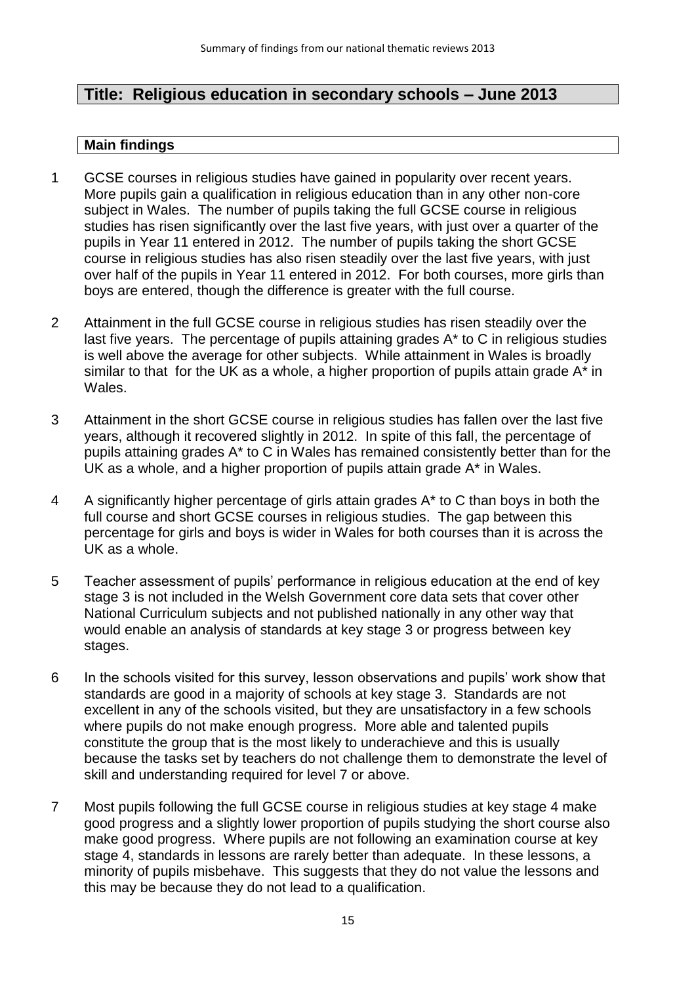# **Title: Religious education in secondary schools – June 2013**

- 1 GCSE courses in religious studies have gained in popularity over recent years. More pupils gain a qualification in religious education than in any other non-core subject in Wales. The number of pupils taking the full GCSE course in religious studies has risen significantly over the last five years, with just over a quarter of the pupils in Year 11 entered in 2012. The number of pupils taking the short GCSE course in religious studies has also risen steadily over the last five years, with just over half of the pupils in Year 11 entered in 2012. For both courses, more girls than boys are entered, though the difference is greater with the full course.
- 2 Attainment in the full GCSE course in religious studies has risen steadily over the last five years. The percentage of pupils attaining grades A\* to C in religious studies is well above the average for other subjects. While attainment in Wales is broadly similar to that for the UK as a whole, a higher proportion of pupils attain grade A\* in Wales.
- 3 Attainment in the short GCSE course in religious studies has fallen over the last five years, although it recovered slightly in 2012. In spite of this fall, the percentage of pupils attaining grades A\* to C in Wales has remained consistently better than for the UK as a whole, and a higher proportion of pupils attain grade A\* in Wales.
- 4 A significantly higher percentage of girls attain grades A\* to C than boys in both the full course and short GCSE courses in religious studies. The gap between this percentage for girls and boys is wider in Wales for both courses than it is across the UK as a whole.
- 5 Teacher assessment of pupils' performance in religious education at the end of key stage 3 is not included in the Welsh Government core data sets that cover other National Curriculum subjects and not published nationally in any other way that would enable an analysis of standards at key stage 3 or progress between key stages.
- 6 In the schools visited for this survey, lesson observations and pupils' work show that standards are good in a majority of schools at key stage 3. Standards are not excellent in any of the schools visited, but they are unsatisfactory in a few schools where pupils do not make enough progress. More able and talented pupils constitute the group that is the most likely to underachieve and this is usually because the tasks set by teachers do not challenge them to demonstrate the level of skill and understanding required for level 7 or above.
- 7 Most pupils following the full GCSE course in religious studies at key stage 4 make good progress and a slightly lower proportion of pupils studying the short course also make good progress. Where pupils are not following an examination course at key stage 4, standards in lessons are rarely better than adequate. In these lessons, a minority of pupils misbehave. This suggests that they do not value the lessons and this may be because they do not lead to a qualification.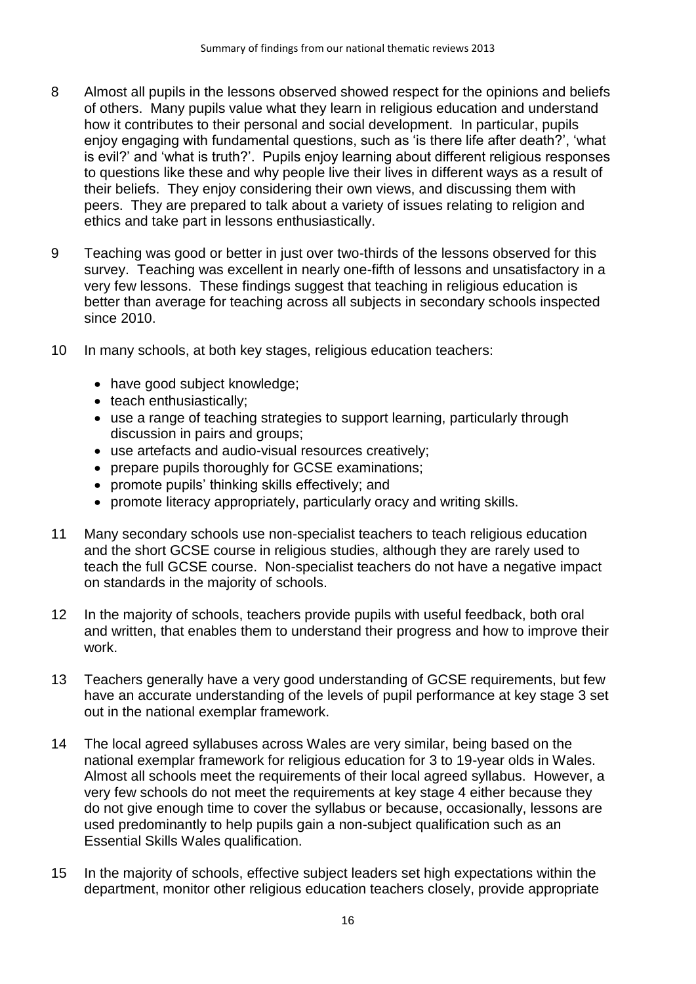- 8 Almost all pupils in the lessons observed showed respect for the opinions and beliefs of others. Many pupils value what they learn in religious education and understand how it contributes to their personal and social development. In particular, pupils enjoy engaging with fundamental questions, such as 'is there life after death?', 'what is evil?' and 'what is truth?'. Pupils enjoy learning about different religious responses to questions like these and why people live their lives in different ways as a result of their beliefs. They enjoy considering their own views, and discussing them with peers. They are prepared to talk about a variety of issues relating to religion and ethics and take part in lessons enthusiastically.
- 9 Teaching was good or better in just over two-thirds of the lessons observed for this survey. Teaching was excellent in nearly one-fifth of lessons and unsatisfactory in a very few lessons. These findings suggest that teaching in religious education is better than average for teaching across all subjects in secondary schools inspected since 2010.
- 10 In many schools, at both key stages, religious education teachers:
	- have good subject knowledge:
	- teach enthusiastically;
	- use a range of teaching strategies to support learning, particularly through discussion in pairs and groups;
	- use artefacts and audio-visual resources creatively;
	- prepare pupils thoroughly for GCSE examinations;
	- promote pupils' thinking skills effectively; and
	- promote literacy appropriately, particularly oracy and writing skills.
- 11 Many secondary schools use non-specialist teachers to teach religious education and the short GCSE course in religious studies, although they are rarely used to teach the full GCSE course. Non-specialist teachers do not have a negative impact on standards in the majority of schools.
- 12 In the majority of schools, teachers provide pupils with useful feedback, both oral and written, that enables them to understand their progress and how to improve their work.
- 13 Teachers generally have a very good understanding of GCSE requirements, but few have an accurate understanding of the levels of pupil performance at key stage 3 set out in the national exemplar framework.
- 14 The local agreed syllabuses across Wales are very similar, being based on the national exemplar framework for religious education for 3 to 19-year olds in Wales. Almost all schools meet the requirements of their local agreed syllabus. However, a very few schools do not meet the requirements at key stage 4 either because they do not give enough time to cover the syllabus or because, occasionally, lessons are used predominantly to help pupils gain a non-subject qualification such as an Essential Skills Wales qualification.
- 15 In the majority of schools, effective subject leaders set high expectations within the department, monitor other religious education teachers closely, provide appropriate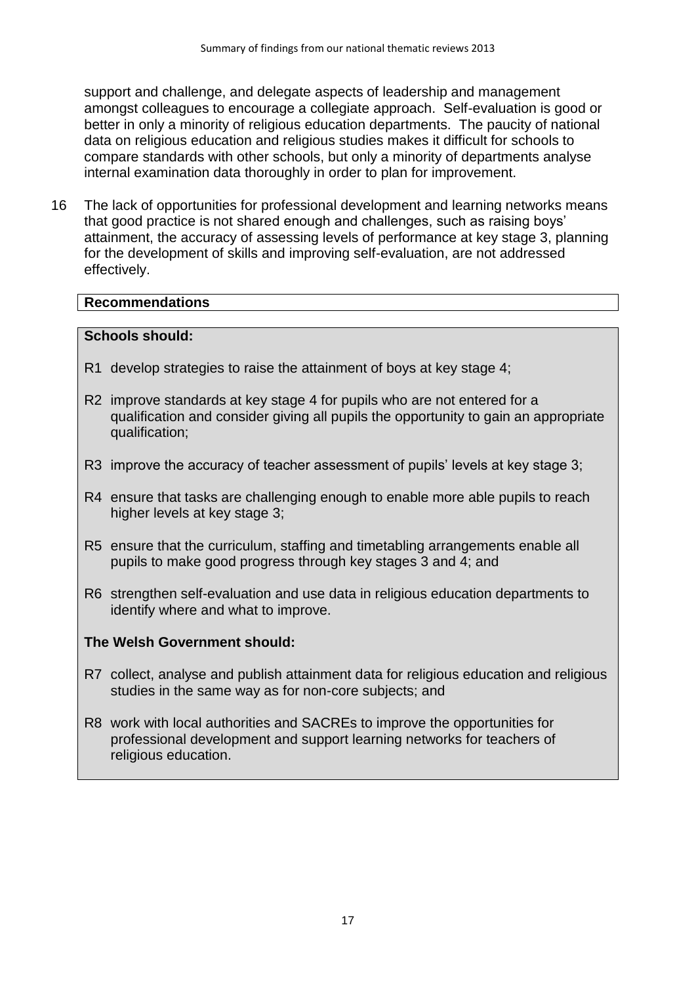support and challenge, and delegate aspects of leadership and management amongst colleagues to encourage a collegiate approach. Self-evaluation is good or better in only a minority of religious education departments. The paucity of national data on religious education and religious studies makes it difficult for schools to compare standards with other schools, but only a minority of departments analyse internal examination data thoroughly in order to plan for improvement.

16 The lack of opportunities for professional development and learning networks means that good practice is not shared enough and challenges, such as raising boys' attainment, the accuracy of assessing levels of performance at key stage 3, planning for the development of skills and improving self-evaluation, are not addressed effectively.

#### **Recommendations**

#### **Schools should:**

- R1 develop strategies to raise the attainment of boys at key stage 4;
- R2 improve standards at key stage 4 for pupils who are not entered for a qualification and consider giving all pupils the opportunity to gain an appropriate qualification;
- R3 improve the accuracy of teacher assessment of pupils' levels at key stage 3;
- R4 ensure that tasks are challenging enough to enable more able pupils to reach higher levels at key stage 3;
- R5 ensure that the curriculum, staffing and timetabling arrangements enable all pupils to make good progress through key stages 3 and 4; and
- R6 strengthen self-evaluation and use data in religious education departments to identify where and what to improve.

### **The Welsh Government should:**

- R7 collect, analyse and publish attainment data for religious education and religious studies in the same way as for non-core subjects; and
- R8 work with local authorities and SACREs to improve the opportunities for professional development and support learning networks for teachers of religious education.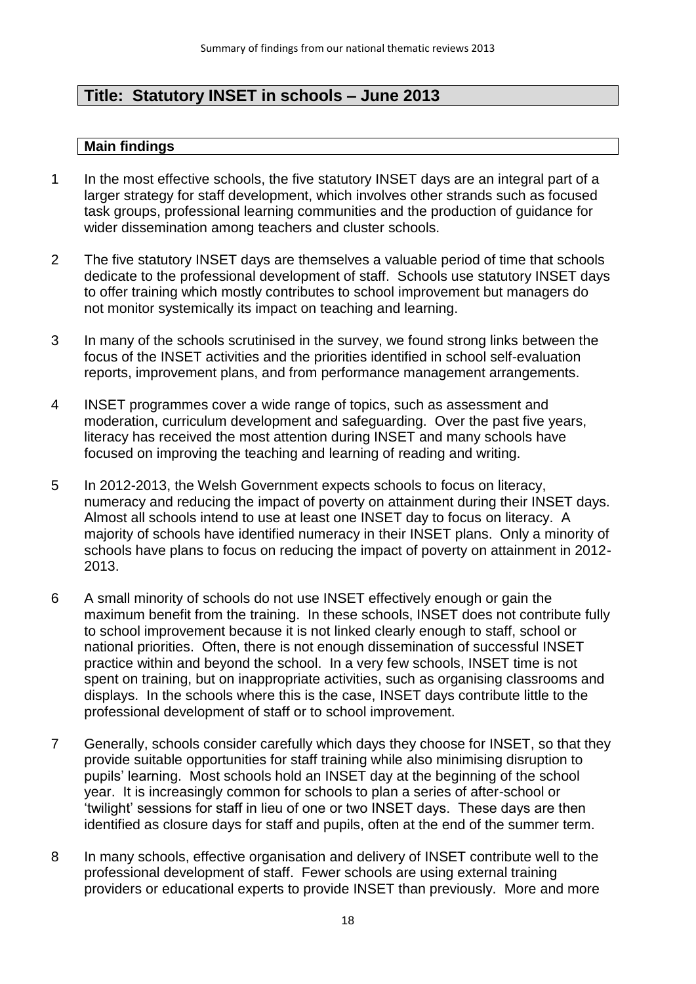# **Title: Statutory INSET in schools – June 2013**

- 1 In the most effective schools, the five statutory INSET days are an integral part of a larger strategy for staff development, which involves other strands such as focused task groups, professional learning communities and the production of guidance for wider dissemination among teachers and cluster schools.
- 2 The five statutory INSET days are themselves a valuable period of time that schools dedicate to the professional development of staff. Schools use statutory INSET days to offer training which mostly contributes to school improvement but managers do not monitor systemically its impact on teaching and learning.
- 3 In many of the schools scrutinised in the survey, we found strong links between the focus of the INSET activities and the priorities identified in school self-evaluation reports, improvement plans, and from performance management arrangements.
- 4 INSET programmes cover a wide range of topics, such as assessment and moderation, curriculum development and safeguarding. Over the past five years, literacy has received the most attention during INSET and many schools have focused on improving the teaching and learning of reading and writing.
- 5 In 2012-2013, the Welsh Government expects schools to focus on literacy, numeracy and reducing the impact of poverty on attainment during their INSET days. Almost all schools intend to use at least one INSET day to focus on literacy. A majority of schools have identified numeracy in their INSET plans. Only a minority of schools have plans to focus on reducing the impact of poverty on attainment in 2012- 2013.
- 6 A small minority of schools do not use INSET effectively enough or gain the maximum benefit from the training. In these schools, INSET does not contribute fully to school improvement because it is not linked clearly enough to staff, school or national priorities. Often, there is not enough dissemination of successful INSET practice within and beyond the school. In a very few schools, INSET time is not spent on training, but on inappropriate activities, such as organising classrooms and displays. In the schools where this is the case, INSET days contribute little to the professional development of staff or to school improvement.
- 7 Generally, schools consider carefully which days they choose for INSET, so that they provide suitable opportunities for staff training while also minimising disruption to pupils' learning. Most schools hold an INSET day at the beginning of the school year. It is increasingly common for schools to plan a series of after-school or 'twilight' sessions for staff in lieu of one or two INSET days. These days are then identified as closure days for staff and pupils, often at the end of the summer term.
- 8 In many schools, effective organisation and delivery of INSET contribute well to the professional development of staff. Fewer schools are using external training providers or educational experts to provide INSET than previously. More and more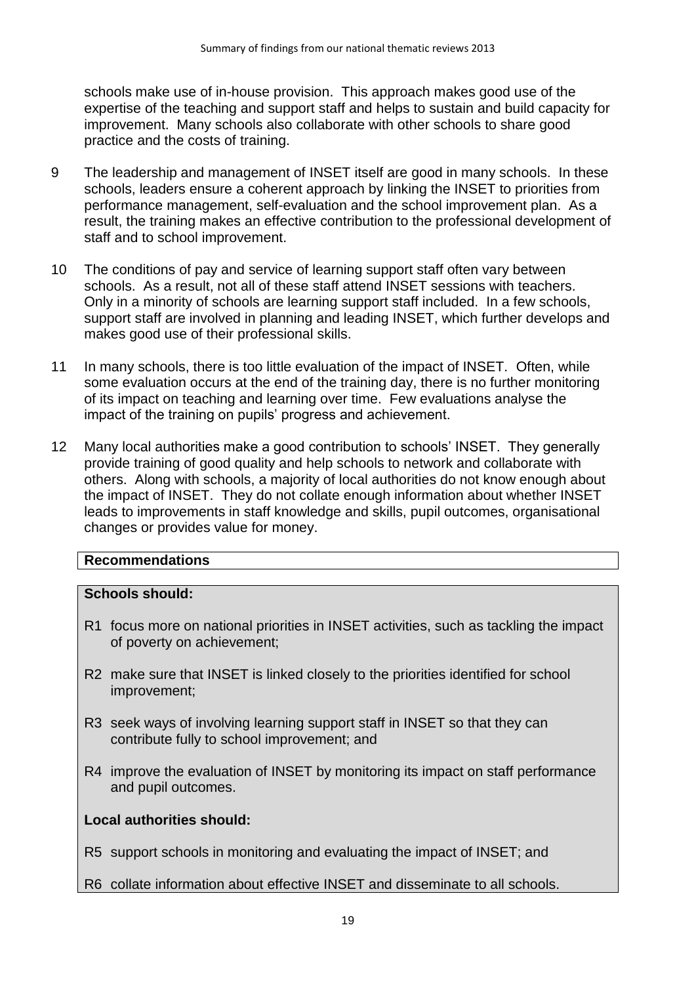schools make use of in-house provision. This approach makes good use of the expertise of the teaching and support staff and helps to sustain and build capacity for improvement. Many schools also collaborate with other schools to share good practice and the costs of training.

- 9 The leadership and management of INSET itself are good in many schools. In these schools, leaders ensure a coherent approach by linking the INSET to priorities from performance management, self-evaluation and the school improvement plan. As a result, the training makes an effective contribution to the professional development of staff and to school improvement.
- 10 The conditions of pay and service of learning support staff often vary between schools. As a result, not all of these staff attend INSET sessions with teachers. Only in a minority of schools are learning support staff included. In a few schools, support staff are involved in planning and leading INSET, which further develops and makes good use of their professional skills.
- 11 In many schools, there is too little evaluation of the impact of INSET. Often, while some evaluation occurs at the end of the training day, there is no further monitoring of its impact on teaching and learning over time. Few evaluations analyse the impact of the training on pupils' progress and achievement.
- 12 Many local authorities make a good contribution to schools' INSET. They generally provide training of good quality and help schools to network and collaborate with others. Along with schools, a majority of local authorities do not know enough about the impact of INSET. They do not collate enough information about whether INSET leads to improvements in staff knowledge and skills, pupil outcomes, organisational changes or provides value for money.

### **Recommendations**

#### **Schools should:**

- R1 focus more on national priorities in INSET activities, such as tackling the impact of poverty on achievement;
- R2 make sure that INSET is linked closely to the priorities identified for school improvement;
- R3 seek ways of involving learning support staff in INSET so that they can contribute fully to school improvement; and
- R4 improve the evaluation of INSET by monitoring its impact on staff performance and pupil outcomes.

### **Local authorities should:**

R5 support schools in monitoring and evaluating the impact of INSET; and

R6 collate information about effective INSET and disseminate to all schools.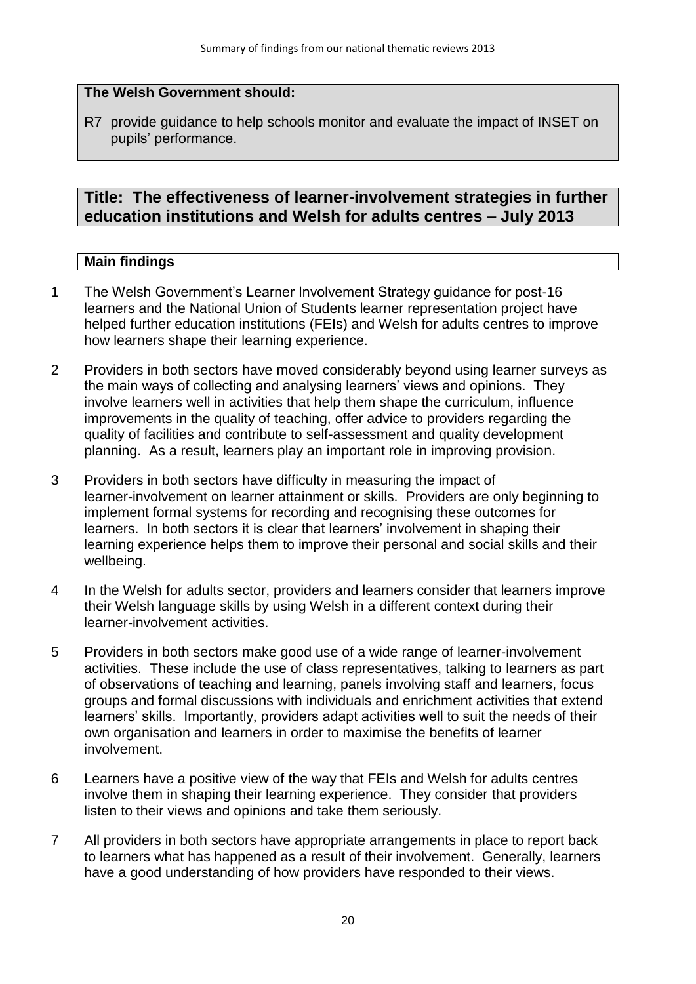## **The Welsh Government should:**

R7 provide guidance to help schools monitor and evaluate the impact of INSET on pupils' performance.

# **Title: The effectiveness of learner-involvement strategies in further education institutions and Welsh for adults centres – July 2013**

- 1 The Welsh Government's Learner Involvement Strategy guidance for post-16 learners and the National Union of Students learner representation project have helped further education institutions (FEIs) and Welsh for adults centres to improve how learners shape their learning experience.
- 2 Providers in both sectors have moved considerably beyond using learner surveys as the main ways of collecting and analysing learners' views and opinions. They involve learners well in activities that help them shape the curriculum, influence improvements in the quality of teaching, offer advice to providers regarding the quality of facilities and contribute to self-assessment and quality development planning. As a result, learners play an important role in improving provision.
- 3 Providers in both sectors have difficulty in measuring the impact of learner-involvement on learner attainment or skills. Providers are only beginning to implement formal systems for recording and recognising these outcomes for learners. In both sectors it is clear that learners' involvement in shaping their learning experience helps them to improve their personal and social skills and their wellbeing.
- 4 In the Welsh for adults sector, providers and learners consider that learners improve their Welsh language skills by using Welsh in a different context during their learner-involvement activities.
- 5 Providers in both sectors make good use of a wide range of learner-involvement activities. These include the use of class representatives, talking to learners as part of observations of teaching and learning, panels involving staff and learners, focus groups and formal discussions with individuals and enrichment activities that extend learners' skills. Importantly, providers adapt activities well to suit the needs of their own organisation and learners in order to maximise the benefits of learner involvement.
- 6 Learners have a positive view of the way that FEIs and Welsh for adults centres involve them in shaping their learning experience. They consider that providers listen to their views and opinions and take them seriously.
- 7 All providers in both sectors have appropriate arrangements in place to report back to learners what has happened as a result of their involvement. Generally, learners have a good understanding of how providers have responded to their views.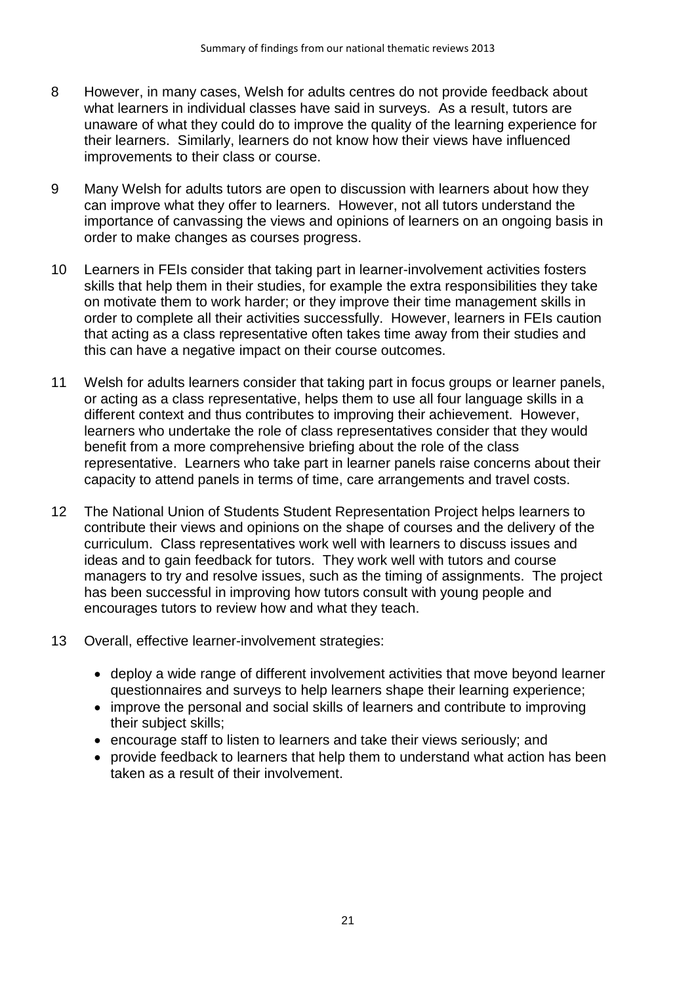- 8 However, in many cases, Welsh for adults centres do not provide feedback about what learners in individual classes have said in surveys. As a result, tutors are unaware of what they could do to improve the quality of the learning experience for their learners. Similarly, learners do not know how their views have influenced improvements to their class or course.
- 9 Many Welsh for adults tutors are open to discussion with learners about how they can improve what they offer to learners. However, not all tutors understand the importance of canvassing the views and opinions of learners on an ongoing basis in order to make changes as courses progress.
- 10 Learners in FEIs consider that taking part in learner-involvement activities fosters skills that help them in their studies, for example the extra responsibilities they take on motivate them to work harder; or they improve their time management skills in order to complete all their activities successfully. However, learners in FEIs caution that acting as a class representative often takes time away from their studies and this can have a negative impact on their course outcomes.
- 11 Welsh for adults learners consider that taking part in focus groups or learner panels, or acting as a class representative, helps them to use all four language skills in a different context and thus contributes to improving their achievement. However, learners who undertake the role of class representatives consider that they would benefit from a more comprehensive briefing about the role of the class representative. Learners who take part in learner panels raise concerns about their capacity to attend panels in terms of time, care arrangements and travel costs.
- 12 The National Union of Students Student Representation Project helps learners to contribute their views and opinions on the shape of courses and the delivery of the curriculum. Class representatives work well with learners to discuss issues and ideas and to gain feedback for tutors. They work well with tutors and course managers to try and resolve issues, such as the timing of assignments. The project has been successful in improving how tutors consult with young people and encourages tutors to review how and what they teach.
- 13 Overall, effective learner-involvement strategies:
	- deploy a wide range of different involvement activities that move beyond learner questionnaires and surveys to help learners shape their learning experience;
	- improve the personal and social skills of learners and contribute to improving their subject skills;
	- encourage staff to listen to learners and take their views seriously; and
	- provide feedback to learners that help them to understand what action has been taken as a result of their involvement.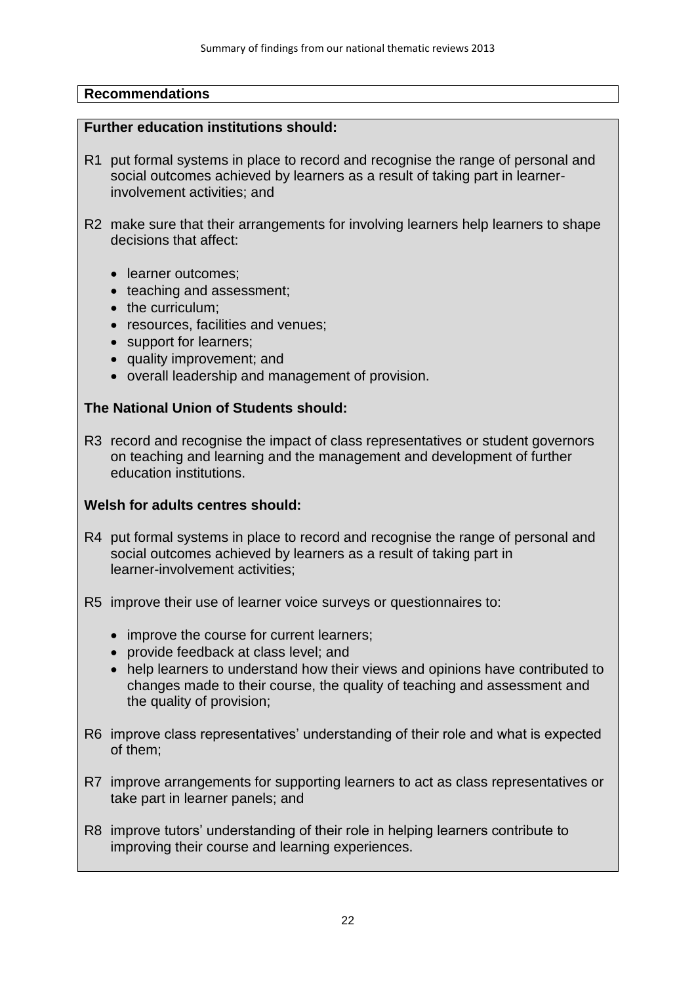#### **Further education institutions should:**

- R1 put formal systems in place to record and recognise the range of personal and social outcomes achieved by learners as a result of taking part in learnerinvolvement activities; and
- R2 make sure that their arrangements for involving learners help learners to shape decisions that affect:
	- learner outcomes:
	- teaching and assessment:
	- the curriculum:
	- resources, facilities and venues:
	- support for learners;
	- quality improvement; and
	- overall leadership and management of provision.

#### **The National Union of Students should:**

R3 record and recognise the impact of class representatives or student governors on teaching and learning and the management and development of further education institutions.

### **Welsh for adults centres should:**

- R4 put formal systems in place to record and recognise the range of personal and social outcomes achieved by learners as a result of taking part in learner-involvement activities;
- R5 improve their use of learner voice surveys or questionnaires to:
	- improve the course for current learners:
	- provide feedback at class level; and
	- help learners to understand how their views and opinions have contributed to changes made to their course, the quality of teaching and assessment and the quality of provision;
- R6 improve class representatives' understanding of their role and what is expected of them;
- R7 improve arrangements for supporting learners to act as class representatives or take part in learner panels; and
- R8 improve tutors' understanding of their role in helping learners contribute to improving their course and learning experiences.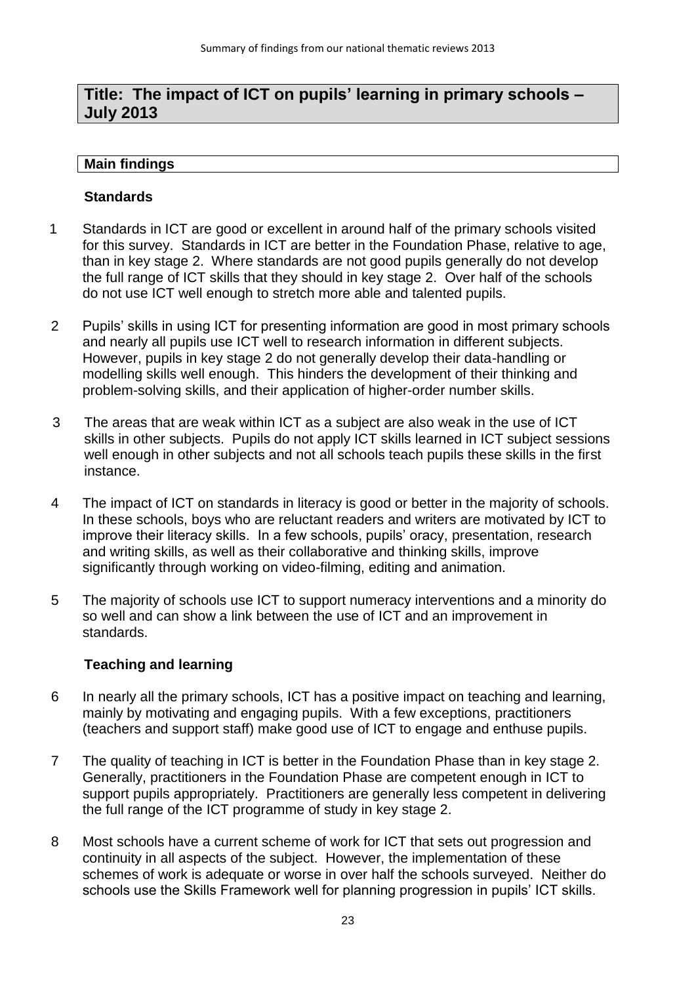# **Title: The impact of ICT on pupils' learning in primary schools – July 2013**

#### **Main findings**

#### **Standards**

- 1 Standards in ICT are good or excellent in around half of the primary schools visited for this survey. Standards in ICT are better in the Foundation Phase, relative to age, than in key stage 2. Where standards are not good pupils generally do not develop the full range of ICT skills that they should in key stage 2. Over half of the schools do not use ICT well enough to stretch more able and talented pupils.
- 2 Pupils' skills in using ICT for presenting information are good in most primary schools and nearly all pupils use ICT well to research information in different subjects. However, pupils in key stage 2 do not generally develop their data-handling or modelling skills well enough. This hinders the development of their thinking and problem-solving skills, and their application of higher-order number skills.
- 3 The areas that are weak within ICT as a subject are also weak in the use of ICT skills in other subjects. Pupils do not apply ICT skills learned in ICT subject sessions well enough in other subjects and not all schools teach pupils these skills in the first instance.
- 4 The impact of ICT on standards in literacy is good or better in the majority of schools. In these schools, boys who are reluctant readers and writers are motivated by ICT to improve their literacy skills. In a few schools, pupils' oracy, presentation, research and writing skills, as well as their collaborative and thinking skills, improve significantly through working on video-filming, editing and animation.
- 5 The majority of schools use ICT to support numeracy interventions and a minority do so well and can show a link between the use of ICT and an improvement in standards.

### **Teaching and learning**

- 6 In nearly all the primary schools, ICT has a positive impact on teaching and learning, mainly by motivating and engaging pupils. With a few exceptions, practitioners (teachers and support staff) make good use of ICT to engage and enthuse pupils.
- 7 The quality of teaching in ICT is better in the Foundation Phase than in key stage 2. Generally, practitioners in the Foundation Phase are competent enough in ICT to support pupils appropriately. Practitioners are generally less competent in delivering the full range of the ICT programme of study in key stage 2.
- 8 Most schools have a current scheme of work for ICT that sets out progression and continuity in all aspects of the subject. However, the implementation of these schemes of work is adequate or worse in over half the schools surveyed. Neither do schools use the Skills Framework well for planning progression in pupils' ICT skills.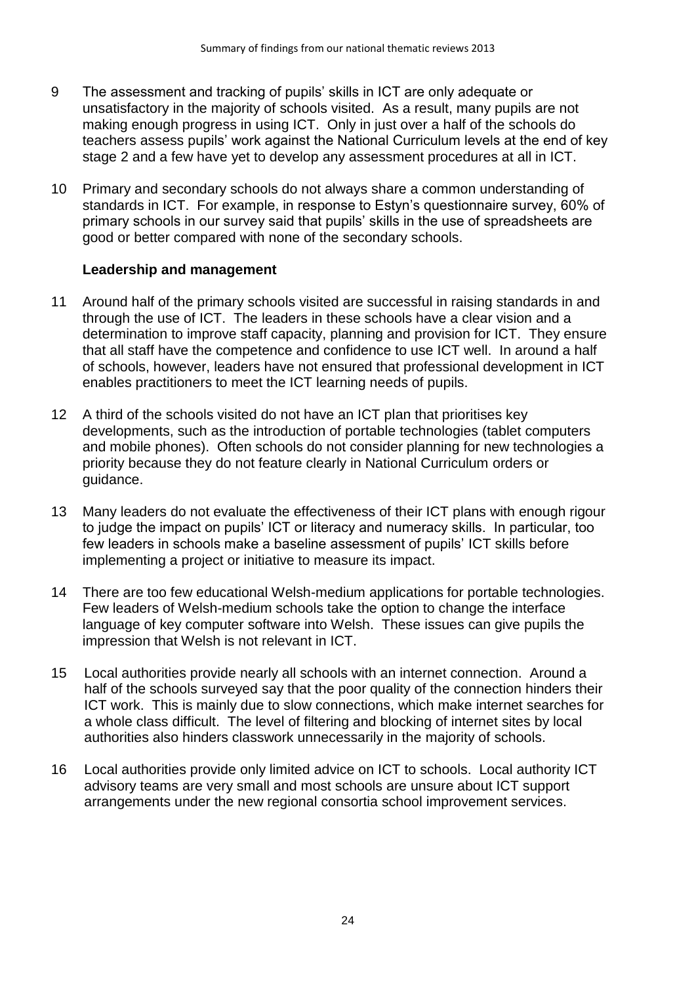- 9 The assessment and tracking of pupils' skills in ICT are only adequate or unsatisfactory in the majority of schools visited. As a result, many pupils are not making enough progress in using ICT. Only in just over a half of the schools do teachers assess pupils' work against the National Curriculum levels at the end of key stage 2 and a few have yet to develop any assessment procedures at all in ICT.
- 10 Primary and secondary schools do not always share a common understanding of standards in ICT. For example, in response to Estyn's questionnaire survey, 60% of primary schools in our survey said that pupils' skills in the use of spreadsheets are good or better compared with none of the secondary schools.

### **Leadership and management**

- 11 Around half of the primary schools visited are successful in raising standards in and through the use of ICT. The leaders in these schools have a clear vision and a determination to improve staff capacity, planning and provision for ICT. They ensure that all staff have the competence and confidence to use ICT well. In around a half of schools, however, leaders have not ensured that professional development in ICT enables practitioners to meet the ICT learning needs of pupils.
- 12 A third of the schools visited do not have an ICT plan that prioritises key developments, such as the introduction of portable technologies (tablet computers and mobile phones). Often schools do not consider planning for new technologies a priority because they do not feature clearly in National Curriculum orders or guidance.
- 13 Many leaders do not evaluate the effectiveness of their ICT plans with enough rigour to judge the impact on pupils' ICT or literacy and numeracy skills. In particular, too few leaders in schools make a baseline assessment of pupils' ICT skills before implementing a project or initiative to measure its impact.
- 14 There are too few educational Welsh-medium applications for portable technologies. Few leaders of Welsh-medium schools take the option to change the interface language of key computer software into Welsh. These issues can give pupils the impression that Welsh is not relevant in ICT.
- 15 Local authorities provide nearly all schools with an internet connection. Around a half of the schools surveyed say that the poor quality of the connection hinders their ICT work. This is mainly due to slow connections, which make internet searches for a whole class difficult. The level of filtering and blocking of internet sites by local authorities also hinders classwork unnecessarily in the majority of schools.
- 16 Local authorities provide only limited advice on ICT to schools. Local authority ICT advisory teams are very small and most schools are unsure about ICT support arrangements under the new regional consortia school improvement services.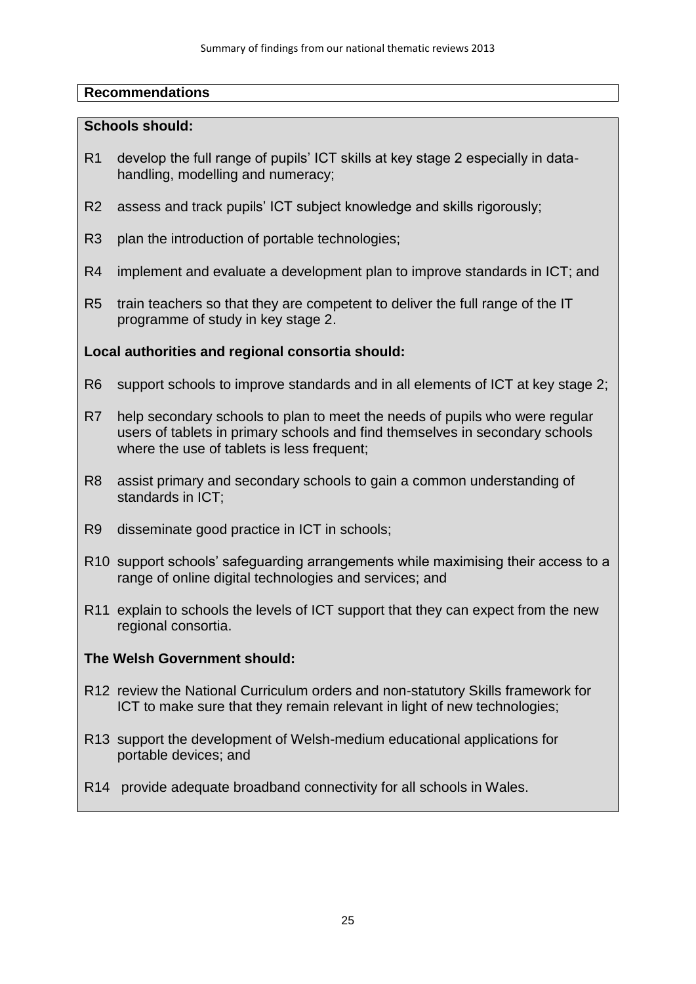#### **Schools should:**

- R1 develop the full range of pupils' ICT skills at key stage 2 especially in datahandling, modelling and numeracy;
- R2 assess and track pupils' ICT subject knowledge and skills rigorously;
- R3 plan the introduction of portable technologies:
- R4 implement and evaluate a development plan to improve standards in ICT; and
- R5 train teachers so that they are competent to deliver the full range of the IT programme of study in key stage 2.

### **Local authorities and regional consortia should:**

- R6 support schools to improve standards and in all elements of ICT at key stage 2;
- R7 help secondary schools to plan to meet the needs of pupils who were regular users of tablets in primary schools and find themselves in secondary schools where the use of tablets is less frequent;
- R8 assist primary and secondary schools to gain a common understanding of standards in ICT;
- R9 disseminate good practice in ICT in schools;
- R10 support schools' safeguarding arrangements while maximising their access to a range of online digital technologies and services; and
- R11 explain to schools the levels of ICT support that they can expect from the new regional consortia.

### **The Welsh Government should:**

- R12 review the National Curriculum orders and non-statutory Skills framework for ICT to make sure that they remain relevant in light of new technologies;
- R13 support the development of Welsh-medium educational applications for portable devices; and
- R14 provide adequate broadband connectivity for all schools in Wales.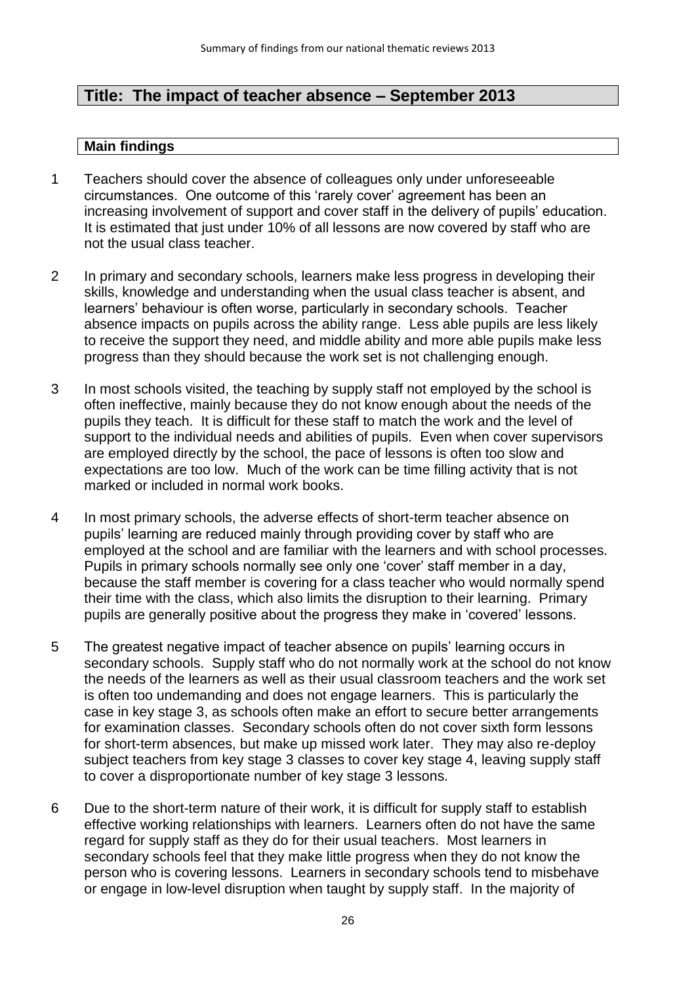# **Title: The impact of teacher absence – September 2013**

- 1 Teachers should cover the absence of colleagues only under unforeseeable circumstances. One outcome of this 'rarely cover' agreement has been an increasing involvement of support and cover staff in the delivery of pupils' education. It is estimated that just under 10% of all lessons are now covered by staff who are not the usual class teacher.
- 2 In primary and secondary schools, learners make less progress in developing their skills, knowledge and understanding when the usual class teacher is absent, and learners' behaviour is often worse, particularly in secondary schools. Teacher absence impacts on pupils across the ability range. Less able pupils are less likely to receive the support they need, and middle ability and more able pupils make less progress than they should because the work set is not challenging enough.
- 3 In most schools visited, the teaching by supply staff not employed by the school is often ineffective, mainly because they do not know enough about the needs of the pupils they teach. It is difficult for these staff to match the work and the level of support to the individual needs and abilities of pupils. Even when cover supervisors are employed directly by the school, the pace of lessons is often too slow and expectations are too low. Much of the work can be time filling activity that is not marked or included in normal work books.
- 4 In most primary schools, the adverse effects of short-term teacher absence on pupils' learning are reduced mainly through providing cover by staff who are employed at the school and are familiar with the learners and with school processes. Pupils in primary schools normally see only one 'cover' staff member in a day, because the staff member is covering for a class teacher who would normally spend their time with the class, which also limits the disruption to their learning. Primary pupils are generally positive about the progress they make in 'covered' lessons.
- 5 The greatest negative impact of teacher absence on pupils' learning occurs in secondary schools. Supply staff who do not normally work at the school do not know the needs of the learners as well as their usual classroom teachers and the work set is often too undemanding and does not engage learners. This is particularly the case in key stage 3, as schools often make an effort to secure better arrangements for examination classes. Secondary schools often do not cover sixth form lessons for short-term absences, but make up missed work later. They may also re-deploy subject teachers from key stage 3 classes to cover key stage 4, leaving supply staff to cover a disproportionate number of key stage 3 lessons.
- 6 Due to the short-term nature of their work, it is difficult for supply staff to establish effective working relationships with learners. Learners often do not have the same regard for supply staff as they do for their usual teachers. Most learners in secondary schools feel that they make little progress when they do not know the person who is covering lessons. Learners in secondary schools tend to misbehave or engage in low-level disruption when taught by supply staff. In the majority of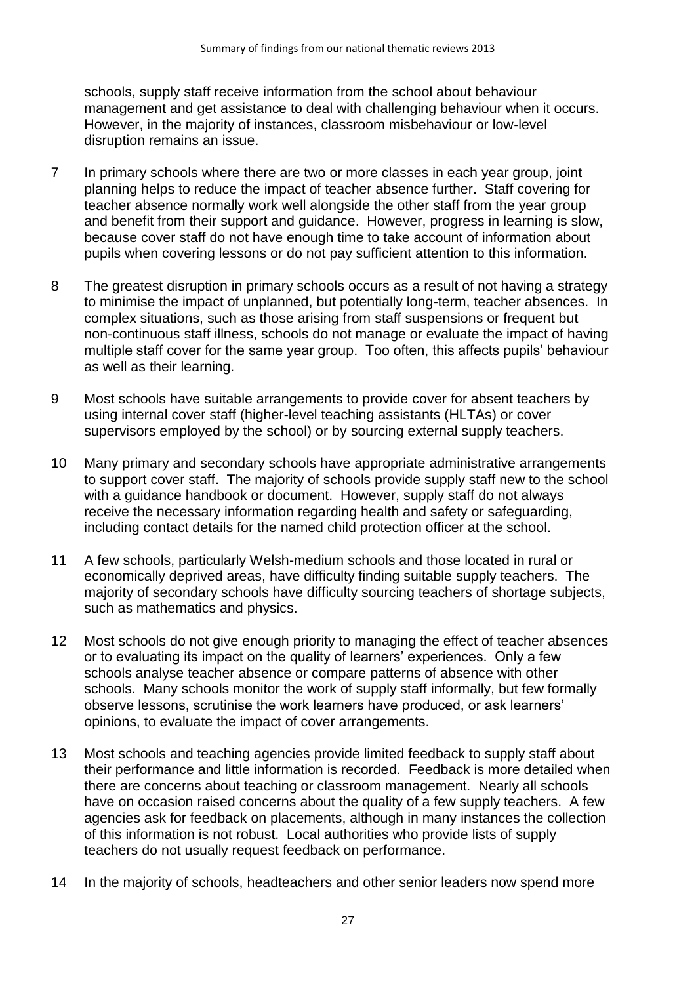schools, supply staff receive information from the school about behaviour management and get assistance to deal with challenging behaviour when it occurs. However, in the majority of instances, classroom misbehaviour or low-level disruption remains an issue.

- 7 In primary schools where there are two or more classes in each year group, joint planning helps to reduce the impact of teacher absence further. Staff covering for teacher absence normally work well alongside the other staff from the year group and benefit from their support and guidance. However, progress in learning is slow, because cover staff do not have enough time to take account of information about pupils when covering lessons or do not pay sufficient attention to this information.
- 8 The greatest disruption in primary schools occurs as a result of not having a strategy to minimise the impact of unplanned, but potentially long-term, teacher absences. In complex situations, such as those arising from staff suspensions or frequent but non-continuous staff illness, schools do not manage or evaluate the impact of having multiple staff cover for the same year group. Too often, this affects pupils' behaviour as well as their learning.
- 9 Most schools have suitable arrangements to provide cover for absent teachers by using internal cover staff (higher-level teaching assistants (HLTAs) or cover supervisors employed by the school) or by sourcing external supply teachers.
- 10 Many primary and secondary schools have appropriate administrative arrangements to support cover staff. The majority of schools provide supply staff new to the school with a guidance handbook or document. However, supply staff do not always receive the necessary information regarding health and safety or safeguarding, including contact details for the named child protection officer at the school.
- 11 A few schools, particularly Welsh-medium schools and those located in rural or economically deprived areas, have difficulty finding suitable supply teachers. The majority of secondary schools have difficulty sourcing teachers of shortage subjects, such as mathematics and physics.
- 12 Most schools do not give enough priority to managing the effect of teacher absences or to evaluating its impact on the quality of learners' experiences. Only a few schools analyse teacher absence or compare patterns of absence with other schools. Many schools monitor the work of supply staff informally, but few formally observe lessons, scrutinise the work learners have produced, or ask learners' opinions, to evaluate the impact of cover arrangements.
- 13 Most schools and teaching agencies provide limited feedback to supply staff about their performance and little information is recorded. Feedback is more detailed when there are concerns about teaching or classroom management. Nearly all schools have on occasion raised concerns about the quality of a few supply teachers. A few agencies ask for feedback on placements, although in many instances the collection of this information is not robust. Local authorities who provide lists of supply teachers do not usually request feedback on performance.
- 14 In the majority of schools, headteachers and other senior leaders now spend more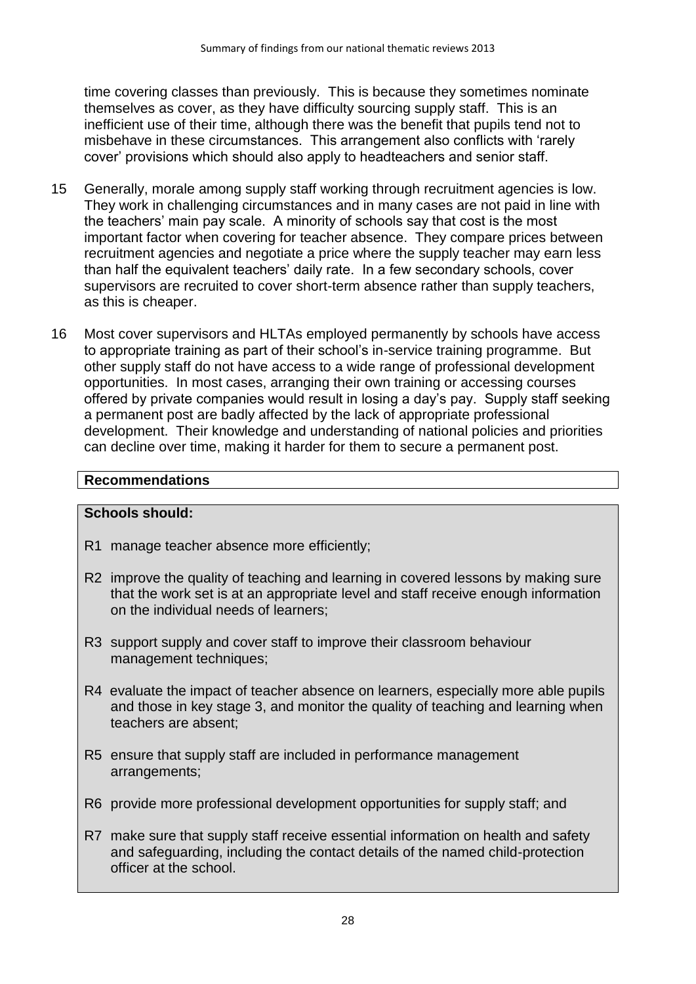time covering classes than previously. This is because they sometimes nominate themselves as cover, as they have difficulty sourcing supply staff. This is an inefficient use of their time, although there was the benefit that pupils tend not to misbehave in these circumstances. This arrangement also conflicts with 'rarely cover' provisions which should also apply to headteachers and senior staff.

- 15 Generally, morale among supply staff working through recruitment agencies is low. They work in challenging circumstances and in many cases are not paid in line with the teachers' main pay scale. A minority of schools say that cost is the most important factor when covering for teacher absence. They compare prices between recruitment agencies and negotiate a price where the supply teacher may earn less than half the equivalent teachers' daily rate. In a few secondary schools, cover supervisors are recruited to cover short-term absence rather than supply teachers, as this is cheaper.
- 16 Most cover supervisors and HLTAs employed permanently by schools have access to appropriate training as part of their school's in-service training programme. But other supply staff do not have access to a wide range of professional development opportunities. In most cases, arranging their own training or accessing courses offered by private companies would result in losing a day's pay. Supply staff seeking a permanent post are badly affected by the lack of appropriate professional development. Their knowledge and understanding of national policies and priorities can decline over time, making it harder for them to secure a permanent post.

#### **Recommendations**

#### **Schools should:**

- R1 manage teacher absence more efficiently;
- R2 improve the quality of teaching and learning in covered lessons by making sure that the work set is at an appropriate level and staff receive enough information on the individual needs of learners;
- R3 support supply and cover staff to improve their classroom behaviour management techniques;
- R4 evaluate the impact of teacher absence on learners, especially more able pupils and those in key stage 3, and monitor the quality of teaching and learning when teachers are absent;
- R5 ensure that supply staff are included in performance management arrangements;
- R6 provide more professional development opportunities for supply staff; and
- R7 make sure that supply staff receive essential information on health and safety and safeguarding, including the contact details of the named child-protection officer at the school.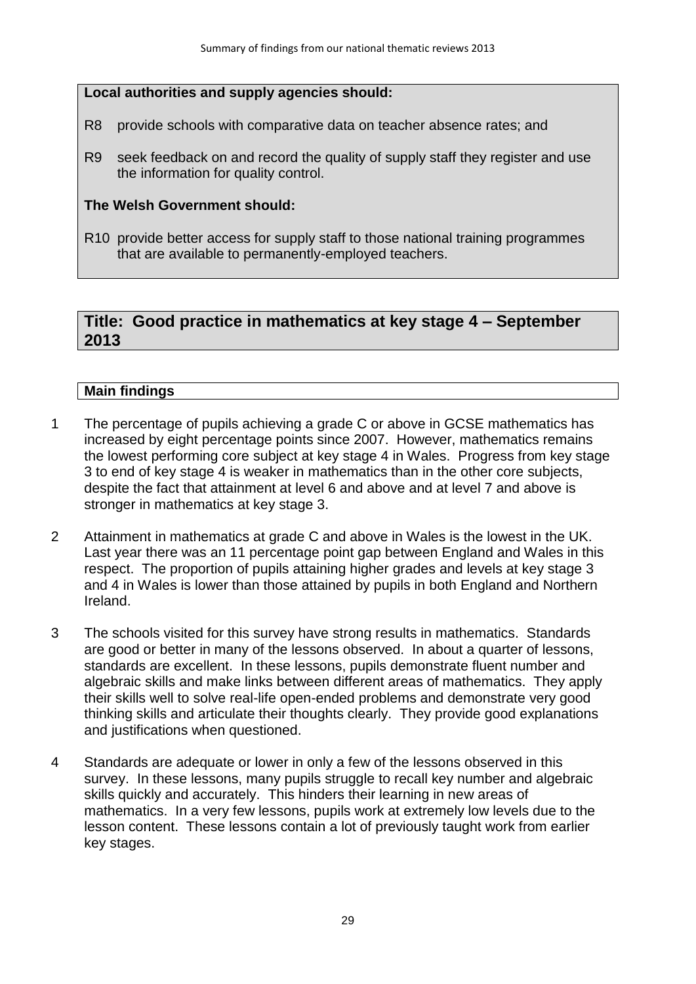#### **Local authorities and supply agencies should:**

- R8 provide schools with comparative data on teacher absence rates; and
- R9 seek feedback on and record the quality of supply staff they register and use the information for quality control.

#### **The Welsh Government should:**

R10 provide better access for supply staff to those national training programmes that are available to permanently-employed teachers.

# **Title: Good practice in mathematics at key stage 4 – September 2013**

- 1 The percentage of pupils achieving a grade C or above in GCSE mathematics has increased by eight percentage points since 2007. However, mathematics remains the lowest performing core subject at key stage 4 in Wales. Progress from key stage 3 to end of key stage 4 is weaker in mathematics than in the other core subjects, despite the fact that attainment at level 6 and above and at level 7 and above is stronger in mathematics at key stage 3.
- 2 Attainment in mathematics at grade C and above in Wales is the lowest in the UK. Last year there was an 11 percentage point gap between England and Wales in this respect. The proportion of pupils attaining higher grades and levels at key stage 3 and 4 in Wales is lower than those attained by pupils in both England and Northern Ireland.
- 3 The schools visited for this survey have strong results in mathematics. Standards are good or better in many of the lessons observed. In about a quarter of lessons, standards are excellent. In these lessons, pupils demonstrate fluent number and algebraic skills and make links between different areas of mathematics. They apply their skills well to solve real-life open-ended problems and demonstrate very good thinking skills and articulate their thoughts clearly. They provide good explanations and justifications when questioned.
- 4 Standards are adequate or lower in only a few of the lessons observed in this survey. In these lessons, many pupils struggle to recall key number and algebraic skills quickly and accurately. This hinders their learning in new areas of mathematics. In a very few lessons, pupils work at extremely low levels due to the lesson content. These lessons contain a lot of previously taught work from earlier key stages.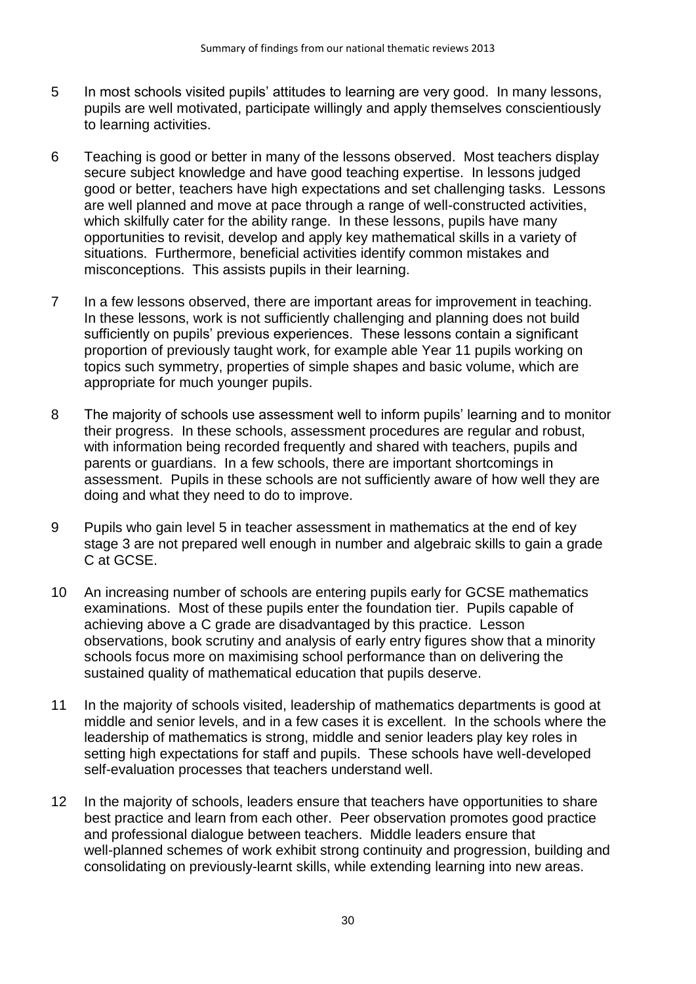- 5 In most schools visited pupils' attitudes to learning are very good. In many lessons, pupils are well motivated, participate willingly and apply themselves conscientiously to learning activities.
- 6 Teaching is good or better in many of the lessons observed. Most teachers display secure subject knowledge and have good teaching expertise. In lessons judged good or better, teachers have high expectations and set challenging tasks. Lessons are well planned and move at pace through a range of well-constructed activities, which skilfully cater for the ability range. In these lessons, pupils have many opportunities to revisit, develop and apply key mathematical skills in a variety of situations. Furthermore, beneficial activities identify common mistakes and misconceptions. This assists pupils in their learning.
- 7 In a few lessons observed, there are important areas for improvement in teaching. In these lessons, work is not sufficiently challenging and planning does not build sufficiently on pupils' previous experiences. These lessons contain a significant proportion of previously taught work, for example able Year 11 pupils working on topics such symmetry, properties of simple shapes and basic volume, which are appropriate for much younger pupils.
- 8 The majority of schools use assessment well to inform pupils' learning and to monitor their progress. In these schools, assessment procedures are regular and robust, with information being recorded frequently and shared with teachers, pupils and parents or guardians. In a few schools, there are important shortcomings in assessment. Pupils in these schools are not sufficiently aware of how well they are doing and what they need to do to improve.
- 9 Pupils who gain level 5 in teacher assessment in mathematics at the end of key stage 3 are not prepared well enough in number and algebraic skills to gain a grade C at GCSE.
- 10 An increasing number of schools are entering pupils early for GCSE mathematics examinations. Most of these pupils enter the foundation tier. Pupils capable of achieving above a C grade are disadvantaged by this practice. Lesson observations, book scrutiny and analysis of early entry figures show that a minority schools focus more on maximising school performance than on delivering the sustained quality of mathematical education that pupils deserve.
- 11 In the majority of schools visited, leadership of mathematics departments is good at middle and senior levels, and in a few cases it is excellent. In the schools where the leadership of mathematics is strong, middle and senior leaders play key roles in setting high expectations for staff and pupils. These schools have well-developed self-evaluation processes that teachers understand well.
- 12 In the majority of schools, leaders ensure that teachers have opportunities to share best practice and learn from each other. Peer observation promotes good practice and professional dialogue between teachers. Middle leaders ensure that well-planned schemes of work exhibit strong continuity and progression, building and consolidating on previously-learnt skills, while extending learning into new areas.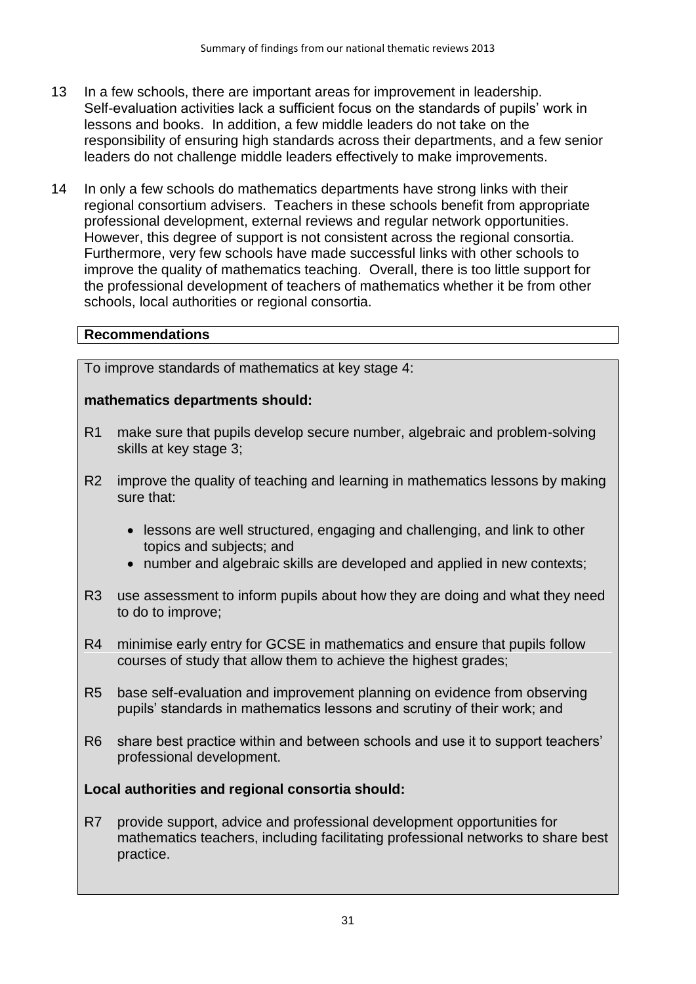- 13 In a few schools, there are important areas for improvement in leadership. Self-evaluation activities lack a sufficient focus on the standards of pupils' work in lessons and books. In addition, a few middle leaders do not take on the responsibility of ensuring high standards across their departments, and a few senior leaders do not challenge middle leaders effectively to make improvements.
- 14 In only a few schools do mathematics departments have strong links with their regional consortium advisers. Teachers in these schools benefit from appropriate professional development, external reviews and regular network opportunities. However, this degree of support is not consistent across the regional consortia. Furthermore, very few schools have made successful links with other schools to improve the quality of mathematics teaching. Overall, there is too little support for the professional development of teachers of mathematics whether it be from other schools, local authorities or regional consortia.

15 To improve standards of mathematics at key stage 4:

### **mathematics departments should:**

- R1 make sure that pupils develop secure number, algebraic and problem-solving skills at key stage 3;
- R2 improve the quality of teaching and learning in mathematics lessons by making sure that:
	- lessons are well structured, engaging and challenging, and link to other topics and subjects; and
	- number and algebraic skills are developed and applied in new contexts;
- R3 use assessment to inform pupils about how they are doing and what they need to do to improve;
- R4 minimise early entry for GCSE in mathematics and ensure that pupils follow courses of study that allow them to achieve the highest grades;
- R5 base self-evaluation and improvement planning on evidence from observing pupils' standards in mathematics lessons and scrutiny of their work; and
- R6 share best practice within and between schools and use it to support teachers' professional development.

### **Local authorities and regional consortia should:**

R7 provide support, advice and professional development opportunities for mathematics teachers, including facilitating professional networks to share best practice.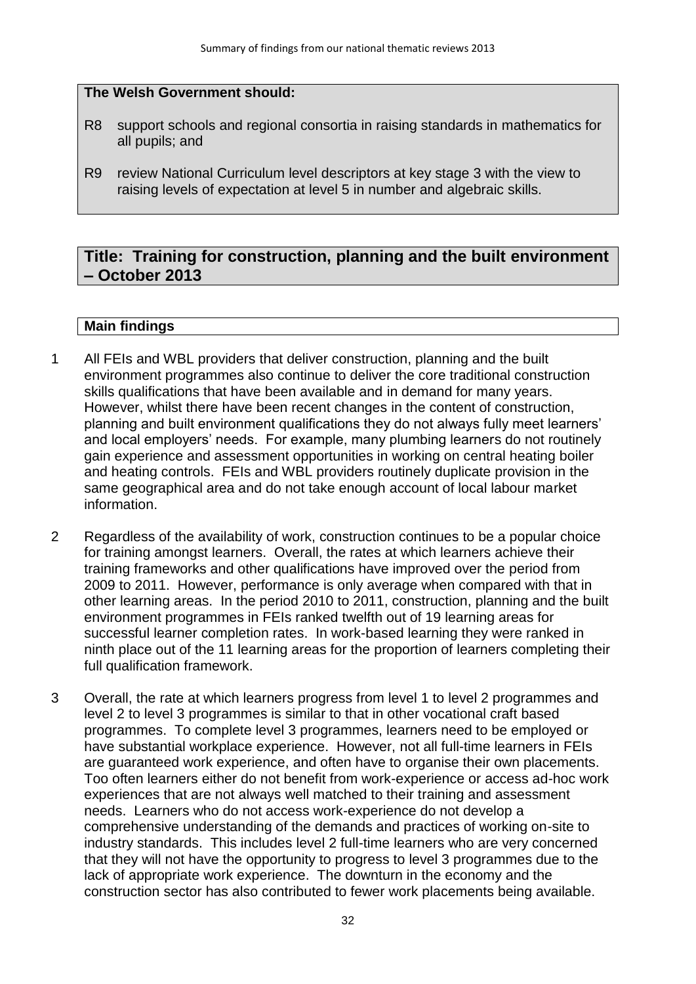#### **The Welsh Government should:**

- R8 support schools and regional consortia in raising standards in mathematics for all pupils; and
- R9 review National Curriculum level descriptors at key stage 3 with the view to raising levels of expectation at level 5 in number and algebraic skills.

# **Title: Training for construction, planning and the built environment – October 2013**

- 1 All FEIs and WBL providers that deliver construction, planning and the built environment programmes also continue to deliver the core traditional construction skills qualifications that have been available and in demand for many years. However, whilst there have been recent changes in the content of construction, planning and built environment qualifications they do not always fully meet learners' and local employers' needs. For example, many plumbing learners do not routinely gain experience and assessment opportunities in working on central heating boiler and heating controls. FEIs and WBL providers routinely duplicate provision in the same geographical area and do not take enough account of local labour market information.
- 2 Regardless of the availability of work, construction continues to be a popular choice for training amongst learners. Overall, the rates at which learners achieve their training frameworks and other qualifications have improved over the period from 2009 to 2011. However, performance is only average when compared with that in other learning areas. In the period 2010 to 2011, construction, planning and the built environment programmes in FEIs ranked twelfth out of 19 learning areas for successful learner completion rates. In work-based learning they were ranked in ninth place out of the 11 learning areas for the proportion of learners completing their full qualification framework.
- 3 Overall, the rate at which learners progress from level 1 to level 2 programmes and level 2 to level 3 programmes is similar to that in other vocational craft based programmes. To complete level 3 programmes, learners need to be employed or have substantial workplace experience. However, not all full-time learners in FEIs are guaranteed work experience, and often have to organise their own placements. Too often learners either do not benefit from work-experience or access ad-hoc work experiences that are not always well matched to their training and assessment needs. Learners who do not access work-experience do not develop a comprehensive understanding of the demands and practices of working on-site to industry standards. This includes level 2 full-time learners who are very concerned that they will not have the opportunity to progress to level 3 programmes due to the lack of appropriate work experience. The downturn in the economy and the construction sector has also contributed to fewer work placements being available.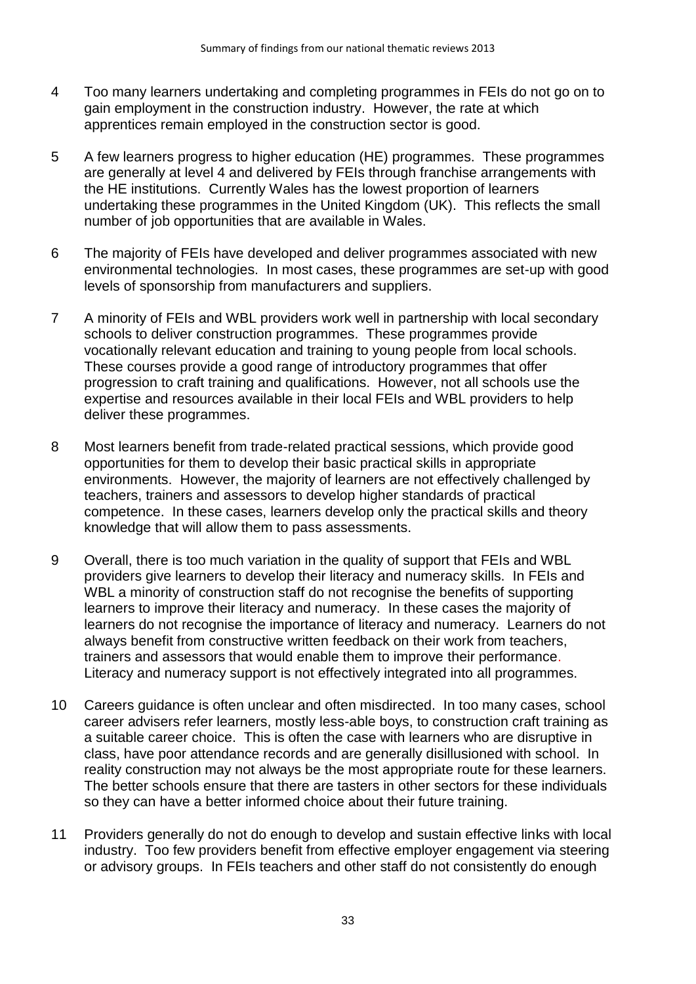- 4 Too many learners undertaking and completing programmes in FEIs do not go on to gain employment in the construction industry. However, the rate at which apprentices remain employed in the construction sector is good.
- 5 A few learners progress to higher education (HE) programmes. These programmes are generally at level 4 and delivered by FEIs through franchise arrangements with the HE institutions. Currently Wales has the lowest proportion of learners undertaking these programmes in the United Kingdom (UK). This reflects the small number of job opportunities that are available in Wales.
- 6 The majority of FEIs have developed and deliver programmes associated with new environmental technologies. In most cases, these programmes are set-up with good levels of sponsorship from manufacturers and suppliers.
- 7 A minority of FEIs and WBL providers work well in partnership with local secondary schools to deliver construction programmes. These programmes provide vocationally relevant education and training to young people from local schools. These courses provide a good range of introductory programmes that offer progression to craft training and qualifications. However, not all schools use the expertise and resources available in their local FEIs and WBL providers to help deliver these programmes.
- 8 Most learners benefit from trade-related practical sessions, which provide good opportunities for them to develop their basic practical skills in appropriate environments. However, the majority of learners are not effectively challenged by teachers, trainers and assessors to develop higher standards of practical competence. In these cases, learners develop only the practical skills and theory knowledge that will allow them to pass assessments.
- 9 Overall, there is too much variation in the quality of support that FEIs and WBL providers give learners to develop their literacy and numeracy skills. In FEIs and WBL a minority of construction staff do not recognise the benefits of supporting learners to improve their literacy and numeracy. In these cases the majority of learners do not recognise the importance of literacy and numeracy. Learners do not always benefit from constructive written feedback on their work from teachers, trainers and assessors that would enable them to improve their performance. Literacy and numeracy support is not effectively integrated into all programmes.
- 10 Careers guidance is often unclear and often misdirected. In too many cases, school career advisers refer learners, mostly less-able boys, to construction craft training as a suitable career choice. This is often the case with learners who are disruptive in class, have poor attendance records and are generally disillusioned with school. In reality construction may not always be the most appropriate route for these learners. The better schools ensure that there are tasters in other sectors for these individuals so they can have a better informed choice about their future training.
- 11 Providers generally do not do enough to develop and sustain effective links with local industry. Too few providers benefit from effective employer engagement via steering or advisory groups. In FEIs teachers and other staff do not consistently do enough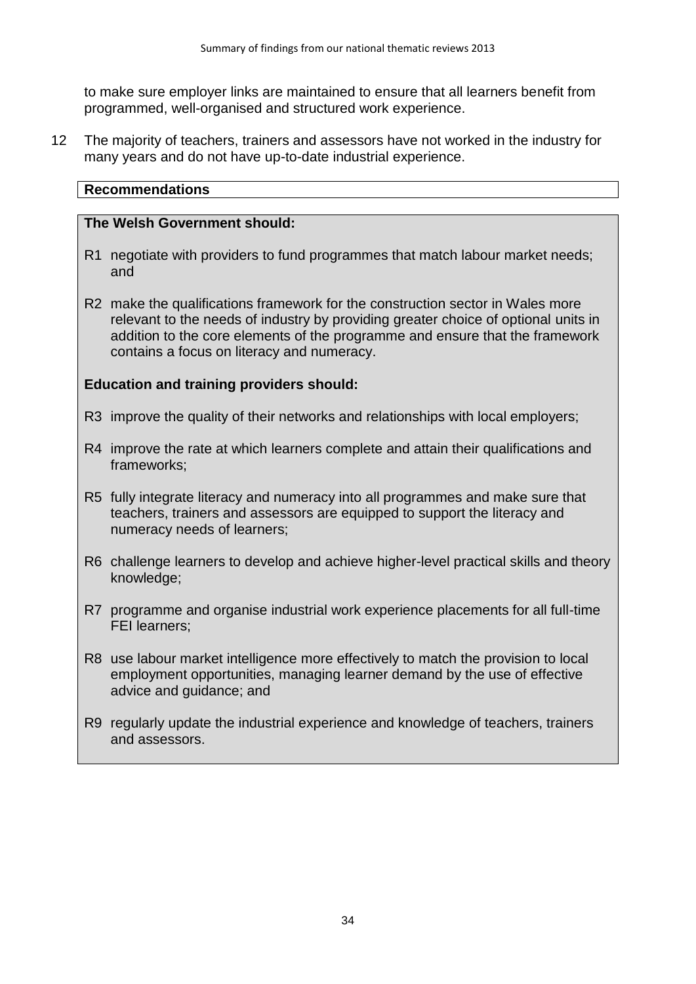to make sure employer links are maintained to ensure that all learners benefit from programmed, well-organised and structured work experience.

12 The majority of teachers, trainers and assessors have not worked in the industry for many years and do not have up-to-date industrial experience.

# **Recommendations**

#### **The Welsh Government should:**

- R1 negotiate with providers to fund programmes that match labour market needs; and
- R2 make the qualifications framework for the construction sector in Wales more relevant to the needs of industry by providing greater choice of optional units in addition to the core elements of the programme and ensure that the framework contains a focus on literacy and numeracy.

## **Education and training providers should:**

- R3 improve the quality of their networks and relationships with local employers;
- R4 improve the rate at which learners complete and attain their qualifications and frameworks;
- R5 fully integrate literacy and numeracy into all programmes and make sure that teachers, trainers and assessors are equipped to support the literacy and numeracy needs of learners;
- R6 challenge learners to develop and achieve higher-level practical skills and theory knowledge;
- R7 programme and organise industrial work experience placements for all full-time FEI learners;
- R8 use labour market intelligence more effectively to match the provision to local employment opportunities, managing learner demand by the use of effective advice and guidance; and
- R9 regularly update the industrial experience and knowledge of teachers, trainers and assessors.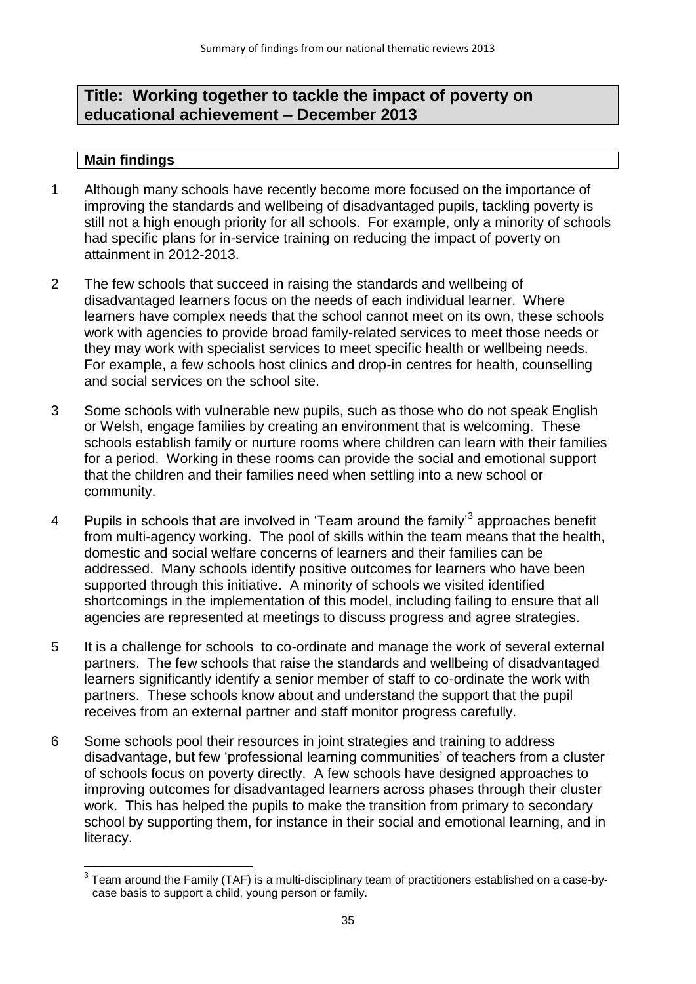# **Title: Working together to tackle the impact of poverty on educational achievement – December 2013**

- 1 Although many schools have recently become more focused on the importance of improving the standards and wellbeing of disadvantaged pupils, tackling poverty is still not a high enough priority for all schools. For example, only a minority of schools had specific plans for in-service training on reducing the impact of poverty on attainment in 2012-2013.
- 2 The few schools that succeed in raising the standards and wellbeing of disadvantaged learners focus on the needs of each individual learner. Where learners have complex needs that the school cannot meet on its own, these schools work with agencies to provide broad family-related services to meet those needs or they may work with specialist services to meet specific health or wellbeing needs. For example, a few schools host clinics and drop-in centres for health, counselling and social services on the school site.
- 3 Some schools with vulnerable new pupils, such as those who do not speak English or Welsh, engage families by creating an environment that is welcoming. These schools establish family or nurture rooms where children can learn with their families for a period. Working in these rooms can provide the social and emotional support that the children and their families need when settling into a new school or community.
- 4 Pupils in schools that are involved in 'Team around the family'<sup>3</sup> approaches benefit from multi-agency working. The pool of skills within the team means that the health, domestic and social welfare concerns of learners and their families can be addressed. Many schools identify positive outcomes for learners who have been supported through this initiative. A minority of schools we visited identified shortcomings in the implementation of this model, including failing to ensure that all agencies are represented at meetings to discuss progress and agree strategies.
- 5 It is a challenge for schools to co-ordinate and manage the work of several external partners. The few schools that raise the standards and wellbeing of disadvantaged learners significantly identify a senior member of staff to co-ordinate the work with partners. These schools know about and understand the support that the pupil receives from an external partner and staff monitor progress carefully.
- 6 Some schools pool their resources in joint strategies and training to address disadvantage, but few 'professional learning communities' of teachers from a cluster of schools focus on poverty directly. A few schools have designed approaches to improving outcomes for disadvantaged learners across phases through their cluster work. This has helped the pupils to make the transition from primary to secondary school by supporting them, for instance in their social and emotional learning, and in literacy.

 3 Team around the Family (TAF) is a multi-disciplinary team of practitioners established on a case-bycase basis to support a child, young person or family.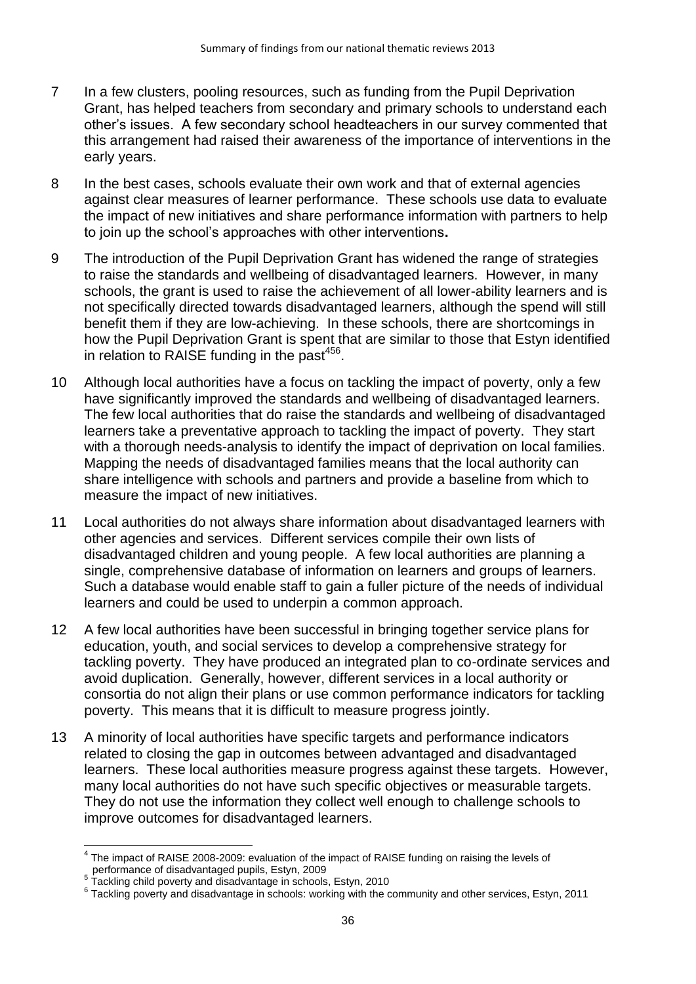- 7 In a few clusters, pooling resources, such as funding from the Pupil Deprivation Grant, has helped teachers from secondary and primary schools to understand each other's issues. A few secondary school headteachers in our survey commented that this arrangement had raised their awareness of the importance of interventions in the early years.
- 8 In the best cases, schools evaluate their own work and that of external agencies against clear measures of learner performance. These schools use data to evaluate the impact of new initiatives and share performance information with partners to help to join up the school's approaches with other interventions**.**
- 9 The introduction of the Pupil Deprivation Grant has widened the range of strategies to raise the standards and wellbeing of disadvantaged learners. However, in many schools, the grant is used to raise the achievement of all lower-ability learners and is not specifically directed towards disadvantaged learners, although the spend will still benefit them if they are low-achieving. In these schools, there are shortcomings in how the Pupil Deprivation Grant is spent that are similar to those that Estyn identified in relation to RAISE funding in the past $456$ .
- 10 Although local authorities have a focus on tackling the impact of poverty, only a few have significantly improved the standards and wellbeing of disadvantaged learners. The few local authorities that do raise the standards and wellbeing of disadvantaged learners take a preventative approach to tackling the impact of poverty. They start with a thorough needs-analysis to identify the impact of deprivation on local families. Mapping the needs of disadvantaged families means that the local authority can share intelligence with schools and partners and provide a baseline from which to measure the impact of new initiatives.
- 11 Local authorities do not always share information about disadvantaged learners with other agencies and services. Different services compile their own lists of disadvantaged children and young people. A few local authorities are planning a single, comprehensive database of information on learners and groups of learners. Such a database would enable staff to gain a fuller picture of the needs of individual learners and could be used to underpin a common approach.
- 12 A few local authorities have been successful in bringing together service plans for education, youth, and social services to develop a comprehensive strategy for tackling poverty. They have produced an integrated plan to co-ordinate services and avoid duplication. Generally, however, different services in a local authority or consortia do not align their plans or use common performance indicators for tackling poverty. This means that it is difficult to measure progress jointly.
- 13 A minority of local authorities have specific targets and performance indicators related to closing the gap in outcomes between advantaged and disadvantaged learners. These local authorities measure progress against these targets. However, many local authorities do not have such specific objectives or measurable targets. They do not use the information they collect well enough to challenge schools to improve outcomes for disadvantaged learners.

**<sup>.</sup>**  $4$  The impact of RAISE 2008-2009: evaluation of the impact of RAISE funding on raising the levels of

performance of disadvantaged pupils, Estyn, 2009 5 Tackling child poverty and disadvantage in schools, Estyn, 2010

<sup>&</sup>lt;sup>6</sup> Tackling poverty and disadvantage in schools: working with the community and other services, Estyn, 2011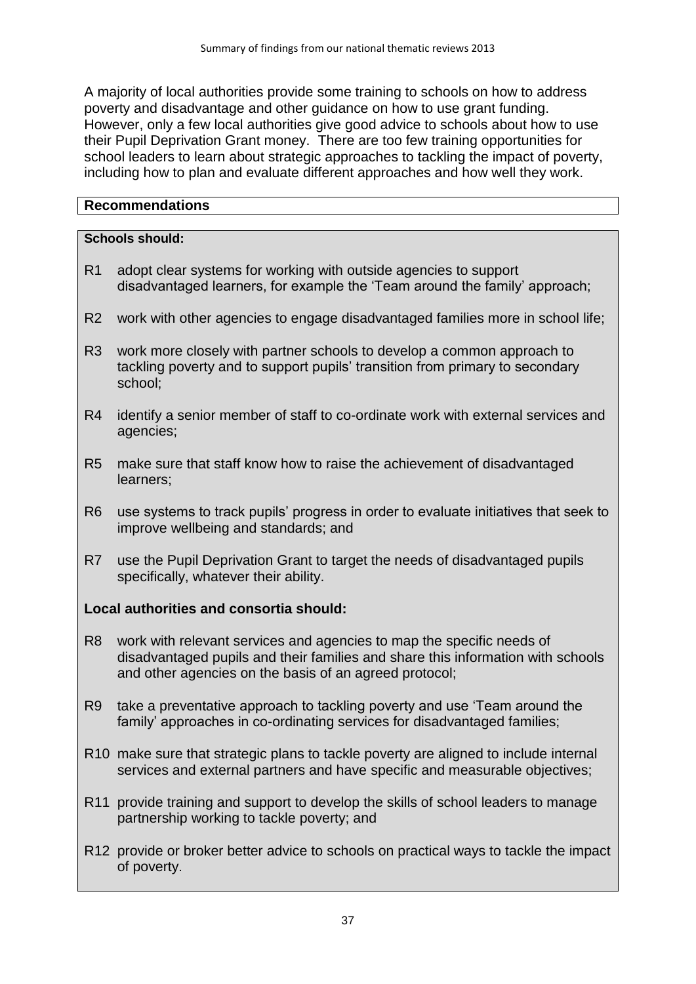A majority of local authorities provide some training to schools on how to address poverty and disadvantage and other guidance on how to use grant funding. However, only a few local authorities give good advice to schools about how to use their Pupil Deprivation Grant money. There are too few training opportunities for school leaders to learn about strategic approaches to tackling the impact of poverty, including how to plan and evaluate different approaches and how well they work.

### **Recommendations**

## **Schools should:**

- R1 adopt clear systems for working with outside agencies to support disadvantaged learners, for example the 'Team around the family' approach;
- R2 work with other agencies to engage disadvantaged families more in school life;
- R3 work more closely with partner schools to develop a common approach to tackling poverty and to support pupils' transition from primary to secondary school;
- R4 identify a senior member of staff to co-ordinate work with external services and agencies;
- R5 make sure that staff know how to raise the achievement of disadvantaged learners;
- R6 use systems to track pupils' progress in order to evaluate initiatives that seek to improve wellbeing and standards; and
- R7 use the Pupil Deprivation Grant to target the needs of disadvantaged pupils specifically, whatever their ability.

### **Local authorities and consortia should:**

- R8 work with relevant services and agencies to map the specific needs of disadvantaged pupils and their families and share this information with schools and other agencies on the basis of an agreed protocol;
- R9 take a preventative approach to tackling poverty and use 'Team around the family' approaches in co-ordinating services for disadvantaged families;
- R10 make sure that strategic plans to tackle poverty are aligned to include internal services and external partners and have specific and measurable objectives;
- R11 provide training and support to develop the skills of school leaders to manage partnership working to tackle poverty; and
- R12 provide or broker better advice to schools on practical ways to tackle the impact of poverty.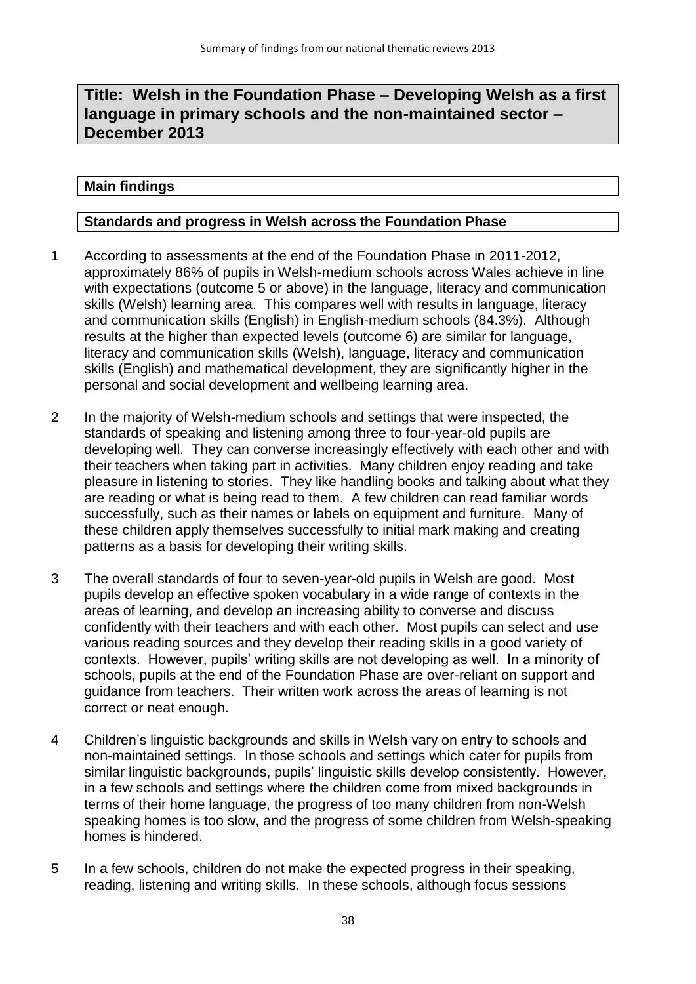# **Title: Welsh in the Foundation Phase – Developing Welsh as a first language in primary schools and the non-maintained sector – December 2013**

#### **Main findings**

#### **Standards and progress in Welsh across the Foundation Phase**

- 1 According to assessments at the end of the Foundation Phase in 2011-2012, approximately 86% of pupils in Welsh-medium schools across Wales achieve in line with expectations (outcome 5 or above) in the language, literacy and communication skills (Welsh) learning area. This compares well with results in language, literacy and communication skills (English) in English-medium schools (84.3%). Although results at the higher than expected levels (outcome 6) are similar for language, literacy and communication skills (Welsh), language, literacy and communication skills (English) and mathematical development, they are significantly higher in the personal and social development and wellbeing learning area.
- 2 In the majority of Welsh-medium schools and settings that were inspected, the standards of speaking and listening among three to four-year-old pupils are developing well. They can converse increasingly effectively with each other and with their teachers when taking part in activities. Many children enjoy reading and take pleasure in listening to stories. They like handling books and talking about what they are reading or what is being read to them. A few children can read familiar words successfully, such as their names or labels on equipment and furniture. Many of these children apply themselves successfully to initial mark making and creating patterns as a basis for developing their writing skills.
- 3 The overall standards of four to seven-year-old pupils in Welsh are good. Most pupils develop an effective spoken vocabulary in a wide range of contexts in the areas of learning, and develop an increasing ability to converse and discuss confidently with their teachers and with each other. Most pupils can select and use various reading sources and they develop their reading skills in a good variety of contexts. However, pupils' writing skills are not developing as well. In a minority of schools, pupils at the end of the Foundation Phase are over-reliant on support and guidance from teachers. Their written work across the areas of learning is not correct or neat enough.
- 4 Children's linguistic backgrounds and skills in Welsh vary on entry to schools and non-maintained settings. In those schools and settings which cater for pupils from similar linguistic backgrounds, pupils' linguistic skills develop consistently. However, in a few schools and settings where the children come from mixed backgrounds in terms of their home language, the progress of too many children from non-Welsh speaking homes is too slow, and the progress of some children from Welsh-speaking homes is hindered.
- 5 In a few schools, children do not make the expected progress in their speaking, reading, listening and writing skills. In these schools, although focus sessions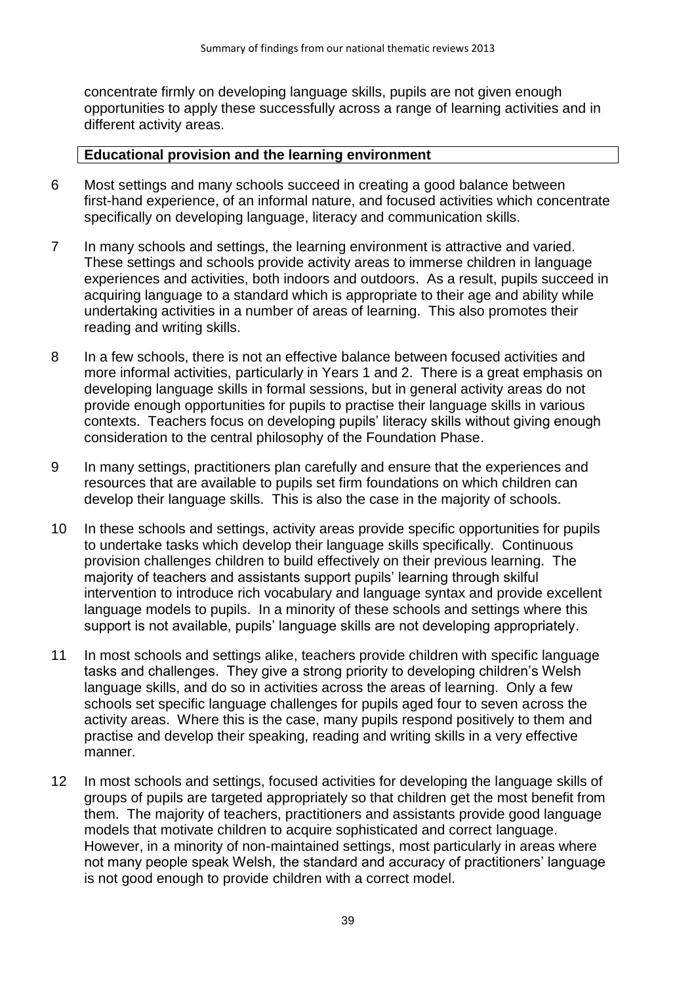concentrate firmly on developing language skills, pupils are not given enough opportunities to apply these successfully across a range of learning activities and in different activity areas.

#### **Educational provision and the learning environment**

- 6 Most settings and many schools succeed in creating a good balance between first-hand experience, of an informal nature, and focused activities which concentrate specifically on developing language, literacy and communication skills.
- 7 In many schools and settings, the learning environment is attractive and varied. These settings and schools provide activity areas to immerse children in language experiences and activities, both indoors and outdoors. As a result, pupils succeed in acquiring language to a standard which is appropriate to their age and ability while undertaking activities in a number of areas of learning. This also promotes their reading and writing skills.
- 8 In a few schools, there is not an effective balance between focused activities and more informal activities, particularly in Years 1 and 2. There is a great emphasis on developing language skills in formal sessions, but in general activity areas do not provide enough opportunities for pupils to practise their language skills in various contexts. Teachers focus on developing pupils' literacy skills without giving enough consideration to the central philosophy of the Foundation Phase.
- 9 In many settings, practitioners plan carefully and ensure that the experiences and resources that are available to pupils set firm foundations on which children can develop their language skills. This is also the case in the majority of schools.
- 10 In these schools and settings, activity areas provide specific opportunities for pupils to undertake tasks which develop their language skills specifically. Continuous provision challenges children to build effectively on their previous learning. The majority of teachers and assistants support pupils' learning through skilful intervention to introduce rich vocabulary and language syntax and provide excellent language models to pupils. In a minority of these schools and settings where this support is not available, pupils' language skills are not developing appropriately.
- 11 In most schools and settings alike, teachers provide children with specific language tasks and challenges. They give a strong priority to developing children's Welsh language skills, and do so in activities across the areas of learning. Only a few schools set specific language challenges for pupils aged four to seven across the activity areas. Where this is the case, many pupils respond positively to them and practise and develop their speaking, reading and writing skills in a very effective manner.
- 12 In most schools and settings, focused activities for developing the language skills of groups of pupils are targeted appropriately so that children get the most benefit from them. The majority of teachers, practitioners and assistants provide good language models that motivate children to acquire sophisticated and correct language. However, in a minority of non-maintained settings, most particularly in areas where not many people speak Welsh, the standard and accuracy of practitioners' language is not good enough to provide children with a correct model.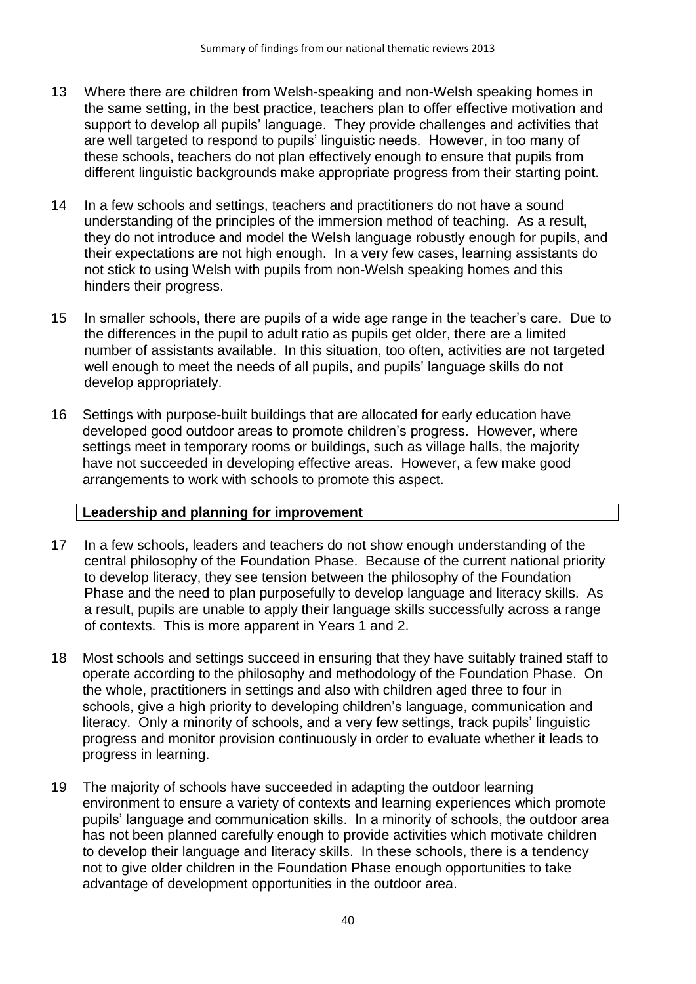- 13 Where there are children from Welsh-speaking and non-Welsh speaking homes in the same setting, in the best practice, teachers plan to offer effective motivation and support to develop all pupils' language. They provide challenges and activities that are well targeted to respond to pupils' linguistic needs. However, in too many of these schools, teachers do not plan effectively enough to ensure that pupils from different linguistic backgrounds make appropriate progress from their starting point.
- 14 In a few schools and settings, teachers and practitioners do not have a sound understanding of the principles of the immersion method of teaching. As a result, they do not introduce and model the Welsh language robustly enough for pupils, and their expectations are not high enough. In a very few cases, learning assistants do not stick to using Welsh with pupils from non-Welsh speaking homes and this hinders their progress.
- 15 In smaller schools, there are pupils of a wide age range in the teacher's care. Due to the differences in the pupil to adult ratio as pupils get older, there are a limited number of assistants available. In this situation, too often, activities are not targeted well enough to meet the needs of all pupils, and pupils' language skills do not develop appropriately.
- 16 Settings with purpose-built buildings that are allocated for early education have developed good outdoor areas to promote children's progress. However, where settings meet in temporary rooms or buildings, such as village halls, the majority have not succeeded in developing effective areas. However, a few make good arrangements to work with schools to promote this aspect.

### **Leadership and planning for improvement**

- 17 In a few schools, leaders and teachers do not show enough understanding of the central philosophy of the Foundation Phase. Because of the current national priority to develop literacy, they see tension between the philosophy of the Foundation Phase and the need to plan purposefully to develop language and literacy skills. As a result, pupils are unable to apply their language skills successfully across a range of contexts. This is more apparent in Years 1 and 2.
- 18 Most schools and settings succeed in ensuring that they have suitably trained staff to operate according to the philosophy and methodology of the Foundation Phase. On the whole, practitioners in settings and also with children aged three to four in schools, give a high priority to developing children's language, communication and literacy. Only a minority of schools, and a very few settings, track pupils' linguistic progress and monitor provision continuously in order to evaluate whether it leads to progress in learning.
- 19 The majority of schools have succeeded in adapting the outdoor learning environment to ensure a variety of contexts and learning experiences which promote pupils' language and communication skills. In a minority of schools, the outdoor area has not been planned carefully enough to provide activities which motivate children to develop their language and literacy skills. In these schools, there is a tendency not to give older children in the Foundation Phase enough opportunities to take advantage of development opportunities in the outdoor area.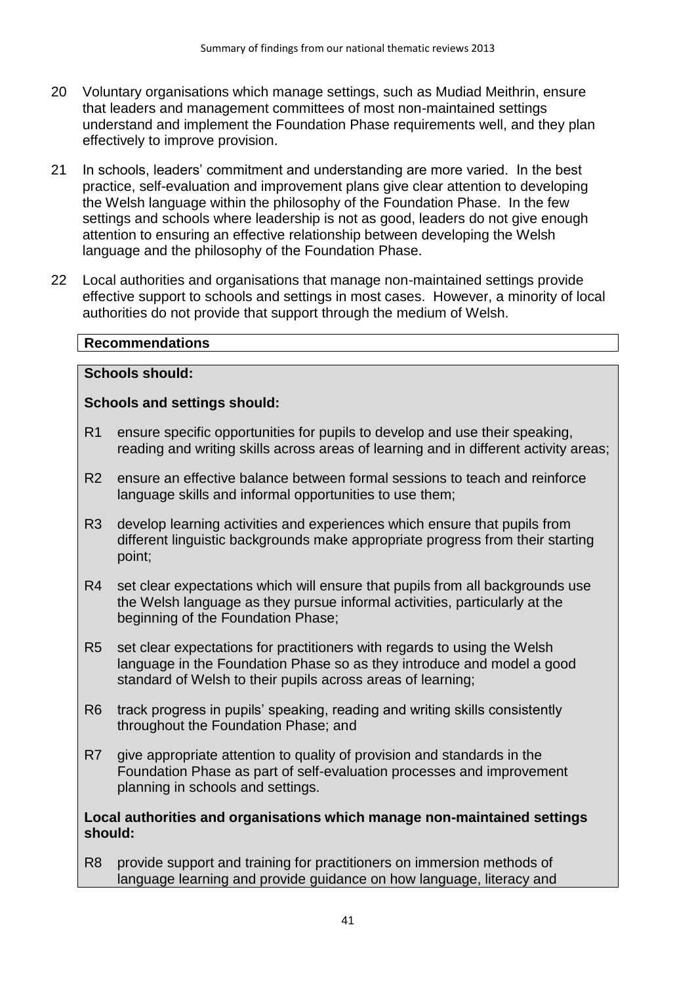- 20 Voluntary organisations which manage settings, such as Mudiad Meithrin, ensure that leaders and management committees of most non-maintained settings understand and implement the Foundation Phase requirements well, and they plan effectively to improve provision.
- 21 In schools, leaders' commitment and understanding are more varied. In the best practice, self-evaluation and improvement plans give clear attention to developing the Welsh language within the philosophy of the Foundation Phase. In the few settings and schools where leadership is not as good, leaders do not give enough attention to ensuring an effective relationship between developing the Welsh language and the philosophy of the Foundation Phase.
- 22 Local authorities and organisations that manage non-maintained settings provide effective support to schools and settings in most cases. However, a minority of local authorities do not provide that support through the medium of Welsh.

## **Schools should:**

### **Schools and settings should:**

- R1 ensure specific opportunities for pupils to develop and use their speaking, reading and writing skills across areas of learning and in different activity areas;
- R2 ensure an effective balance between formal sessions to teach and reinforce language skills and informal opportunities to use them;
- R3 develop learning activities and experiences which ensure that pupils from different linguistic backgrounds make appropriate progress from their starting point;
- R4 set clear expectations which will ensure that pupils from all backgrounds use the Welsh language as they pursue informal activities, particularly at the beginning of the Foundation Phase;
- R5 set clear expectations for practitioners with regards to using the Welsh language in the Foundation Phase so as they introduce and model a good standard of Welsh to their pupils across areas of learning;
- R6 track progress in pupils' speaking, reading and writing skills consistently throughout the Foundation Phase; and
- R7 give appropriate attention to quality of provision and standards in the Foundation Phase as part of self-evaluation processes and improvement planning in schools and settings.

#### **Local authorities and organisations which manage non-maintained settings should:**

R8 provide support and training for practitioners on immersion methods of language learning and provide guidance on how language, literacy and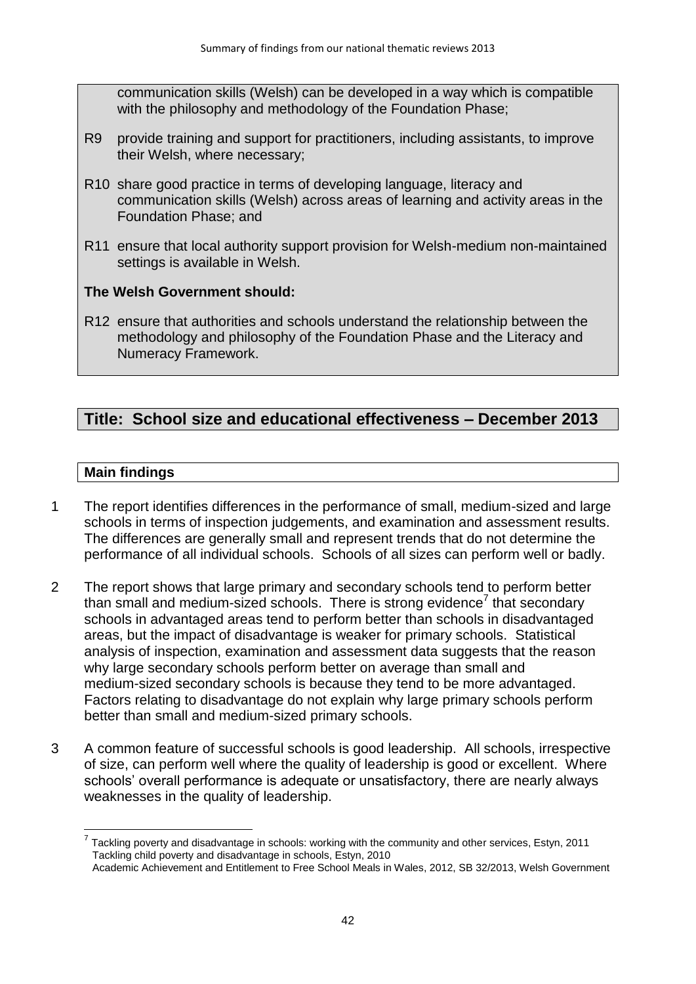communication skills (Welsh) can be developed in a way which is compatible with the philosophy and methodology of the Foundation Phase;

- R9 provide training and support for practitioners, including assistants, to improve their Welsh, where necessary;
- R10 share good practice in terms of developing language, literacy and communication skills (Welsh) across areas of learning and activity areas in the Foundation Phase; and
- R11 ensure that local authority support provision for Welsh-medium non-maintained settings is available in Welsh.

## **The Welsh Government should:**

R12 ensure that authorities and schools understand the relationship between the methodology and philosophy of the Foundation Phase and the Literacy and Numeracy Framework.

# **Title: School size and educational effectiveness – December 2013**

## **Main findings**

1

- 1 The report identifies differences in the performance of small, medium-sized and large schools in terms of inspection judgements, and examination and assessment results. The differences are generally small and represent trends that do not determine the performance of all individual schools. Schools of all sizes can perform well or badly.
- 2 The report shows that large primary and secondary schools tend to perform better than small and medium-sized schools. There is strong evidence<sup>7</sup> that secondary schools in advantaged areas tend to perform better than schools in disadvantaged areas, but the impact of disadvantage is weaker for primary schools. Statistical analysis of inspection, examination and assessment data suggests that the reason why large secondary schools perform better on average than small and medium-sized secondary schools is because they tend to be more advantaged. Factors relating to disadvantage do not explain why large primary schools perform better than small and medium-sized primary schools.
- 3 A common feature of successful schools is good leadership. All schools, irrespective of size, can perform well where the quality of leadership is good or excellent. Where schools' overall performance is adequate or unsatisfactory, there are nearly always weaknesses in the quality of leadership.

 $<sup>7</sup>$  Tackling poverty and disadvantage in schools: working with the community and other services, Estyn, 2011</sup> Tackling child poverty and disadvantage in schools, Estyn, 2010 Academic Achievement and Entitlement to Free School Meals in Wales, 2012, SB 32/2013, Welsh Government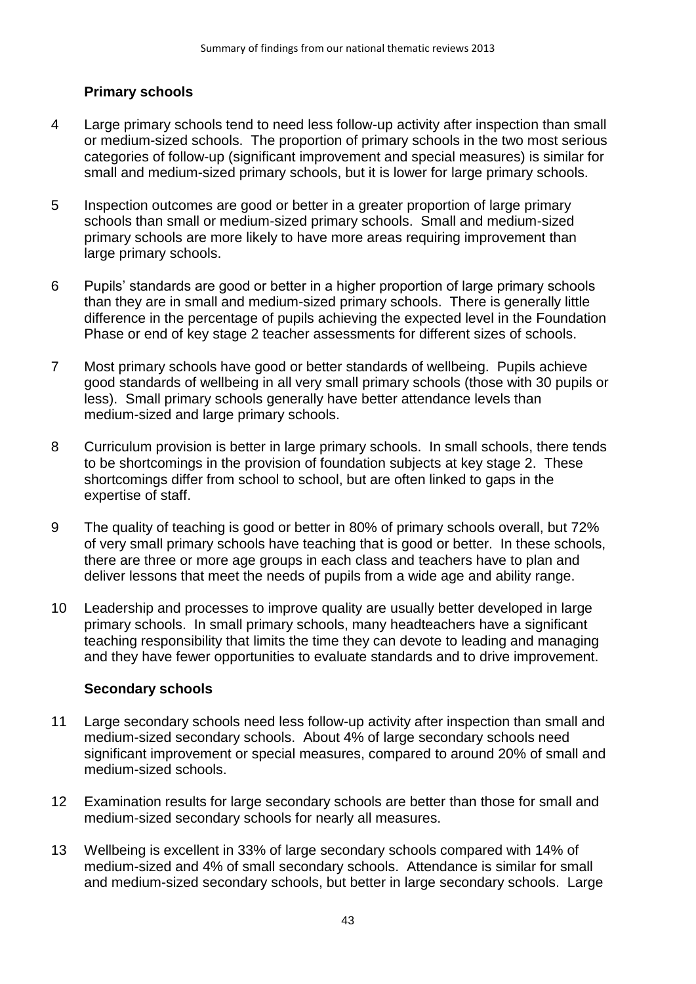# **Primary schools**

- 4 Large primary schools tend to need less follow-up activity after inspection than small or medium-sized schools. The proportion of primary schools in the two most serious categories of follow-up (significant improvement and special measures) is similar for small and medium-sized primary schools, but it is lower for large primary schools.
- 5 Inspection outcomes are good or better in a greater proportion of large primary schools than small or medium-sized primary schools. Small and medium-sized primary schools are more likely to have more areas requiring improvement than large primary schools.
- 6 Pupils' standards are good or better in a higher proportion of large primary schools than they are in small and medium-sized primary schools. There is generally little difference in the percentage of pupils achieving the expected level in the Foundation Phase or end of key stage 2 teacher assessments for different sizes of schools.
- 7 Most primary schools have good or better standards of wellbeing. Pupils achieve good standards of wellbeing in all very small primary schools (those with 30 pupils or less). Small primary schools generally have better attendance levels than medium-sized and large primary schools.
- 8 Curriculum provision is better in large primary schools. In small schools, there tends to be shortcomings in the provision of foundation subjects at key stage 2. These shortcomings differ from school to school, but are often linked to gaps in the expertise of staff.
- 9 The quality of teaching is good or better in 80% of primary schools overall, but 72% of very small primary schools have teaching that is good or better. In these schools, there are three or more age groups in each class and teachers have to plan and deliver lessons that meet the needs of pupils from a wide age and ability range.
- 10 Leadership and processes to improve quality are usually better developed in large primary schools. In small primary schools, many headteachers have a significant teaching responsibility that limits the time they can devote to leading and managing and they have fewer opportunities to evaluate standards and to drive improvement.

# **Secondary schools**

- 11 Large secondary schools need less follow-up activity after inspection than small and medium-sized secondary schools. About 4% of large secondary schools need significant improvement or special measures, compared to around 20% of small and medium-sized schools.
- 12 Examination results for large secondary schools are better than those for small and medium-sized secondary schools for nearly all measures.
- 13 Wellbeing is excellent in 33% of large secondary schools compared with 14% of medium-sized and 4% of small secondary schools. Attendance is similar for small and medium-sized secondary schools, but better in large secondary schools. Large